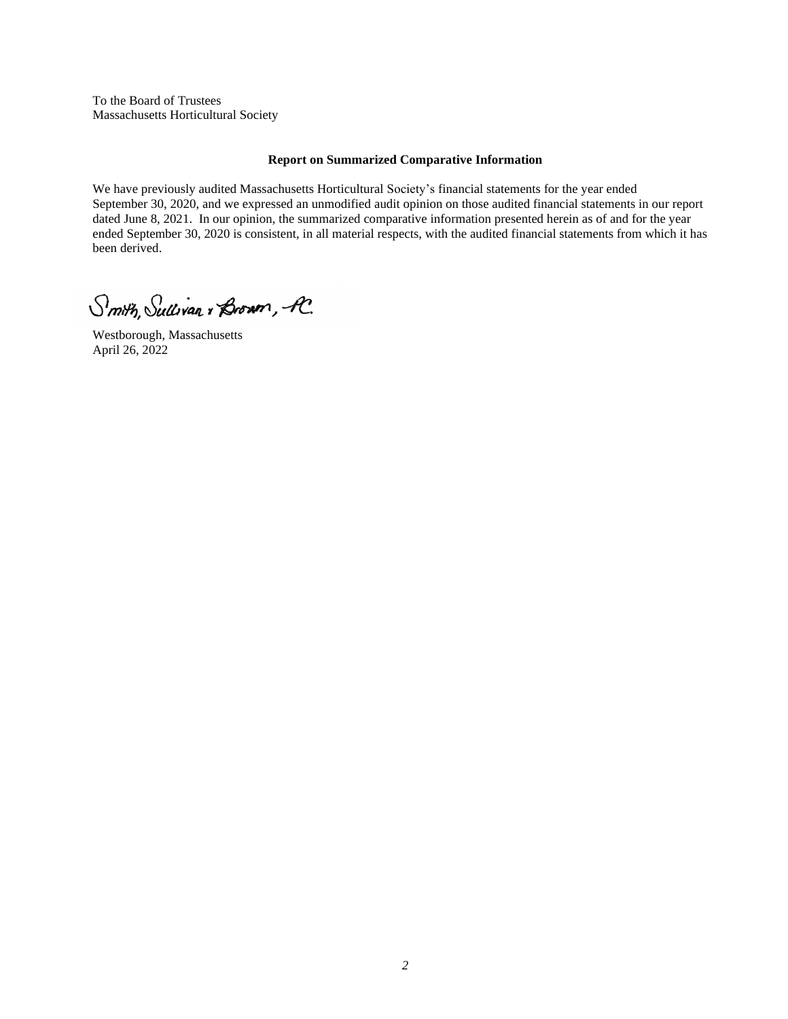To the Board of Trustees Massachusetts Horticultural Society

# **Report on Summarized Comparative Information**

We have previously audited Massachusetts Horticultural Society's financial statements for the year ended September 30, 2020, and we expressed an unmodified audit opinion on those audited financial statements in our report dated June 8, 2021. In our opinion, the summarized comparative information presented herein as of and for the year ended September 30, 2020 is consistent, in all material respects, with the audited financial statements from which it has been derived.

Smith, Sullivan , Brown, A.

Westborough, Massachusetts April 26, 2022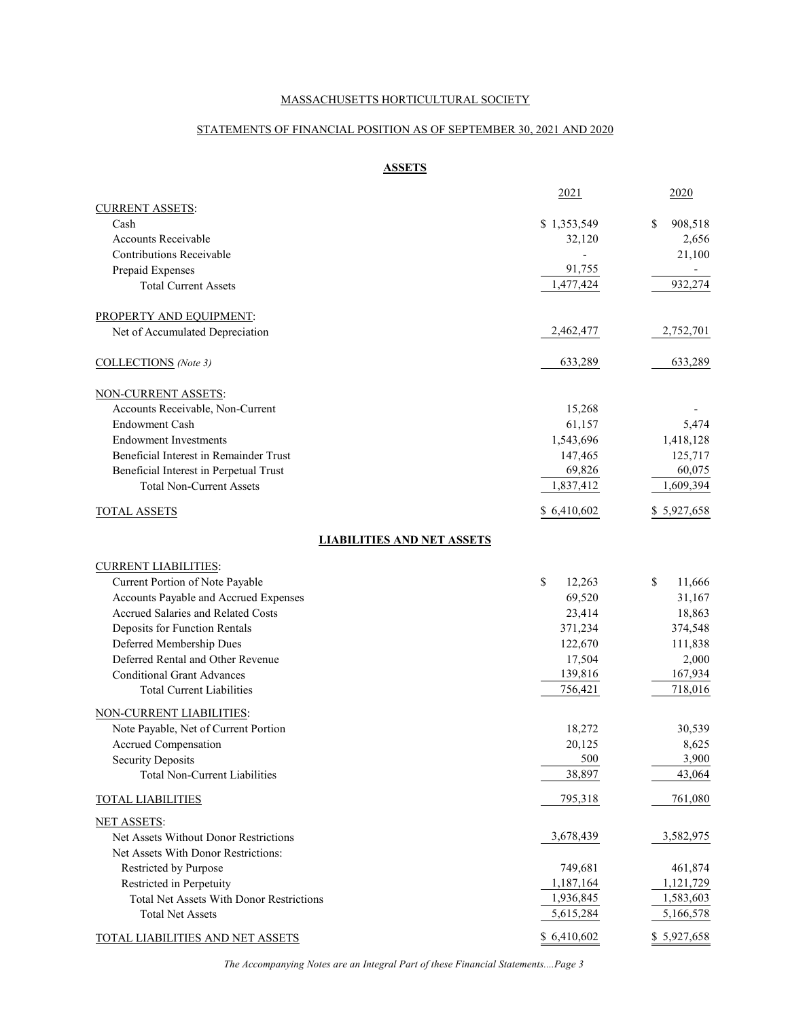# STATEMENTS OF FINANCIAL POSITION AS OF SEPTEMBER 30, 2021 AND 2020

# **ASSETS**

|                                                                                                    | 2021         | 2020          |
|----------------------------------------------------------------------------------------------------|--------------|---------------|
| <b>CURRENT ASSETS:</b>                                                                             |              |               |
| Cash                                                                                               | \$1,353,549  | \$<br>908,518 |
| Accounts Receivable                                                                                | 32,120       | 2,656         |
| Contributions Receivable                                                                           |              | 21,100        |
| Prepaid Expenses                                                                                   | 91,755       |               |
| <b>Total Current Assets</b>                                                                        | 1,477,424    | 932,274       |
| PROPERTY AND EQUIPMENT:                                                                            |              |               |
| Net of Accumulated Depreciation                                                                    | 2,462,477    | 2,752,701     |
| COLLECTIONS (Note 3)                                                                               | 633,289      | 633,289       |
| NON-CURRENT ASSETS:                                                                                |              |               |
| Accounts Receivable, Non-Current                                                                   | 15,268       |               |
| <b>Endowment Cash</b>                                                                              | 61,157       | 5,474         |
| <b>Endowment Investments</b>                                                                       | 1,543,696    | 1,418,128     |
| Beneficial Interest in Remainder Trust                                                             | 147,465      | 125,717       |
| Beneficial Interest in Perpetual Trust                                                             | 69,826       | 60,075        |
| <b>Total Non-Current Assets</b>                                                                    | 1,837,412    | 1,609,394     |
| <b>TOTAL ASSETS</b>                                                                                | \$6,410,602  | \$5,927,658   |
| <b>LIABILITIES AND NET ASSETS</b>                                                                  |              |               |
| <b>CURRENT LIABILITIES:</b>                                                                        |              |               |
| Current Portion of Note Payable                                                                    | \$<br>12,263 | \$<br>11,666  |
| Accounts Payable and Accrued Expenses                                                              | 69,520       | 31,167        |
| Accrued Salaries and Related Costs                                                                 | 23,414       | 18,863        |
| Deposits for Function Rentals                                                                      | 371,234      | 374,548       |
| Deferred Membership Dues                                                                           | 122,670      | 111,838       |
| Deferred Rental and Other Revenue                                                                  | 17,504       | 2,000         |
| <b>Conditional Grant Advances</b>                                                                  | 139,816      | 167,934       |
| <b>Total Current Liabilities</b>                                                                   | 756,421      | 718,016       |
| NON-CURRENT LIABILITIES:                                                                           |              |               |
| Note Payable, Net of Current Portion                                                               | 18,272       | 30,539        |
| Accrued Compensation                                                                               | 20,125       | 8,625         |
| <b>Security Deposits</b>                                                                           | 500          | 3,900         |
| <b>Total Non-Current Liabilities</b>                                                               | 38,897       | 43,064        |
| <b>TOTAL LIABILITIES</b>                                                                           | 795,318      | 761,080       |
| <b>NET ASSETS:</b><br>Net Assets Without Donor Restrictions<br>Net Assets With Donor Restrictions: | 3,678,439    | 3,582,975     |
| Restricted by Purpose                                                                              | 749,681      | 461,874       |
| Restricted in Perpetuity                                                                           | 1,187,164    | 1,121,729     |
| Total Net Assets With Donor Restrictions                                                           | 1,936,845    | 1,583,603     |
| <b>Total Net Assets</b>                                                                            | 5,615,284    | 5,166,578     |
| <b>TOTAL LIABILITIES AND NET ASSETS</b>                                                            | \$6,410,602  | \$5,927,658   |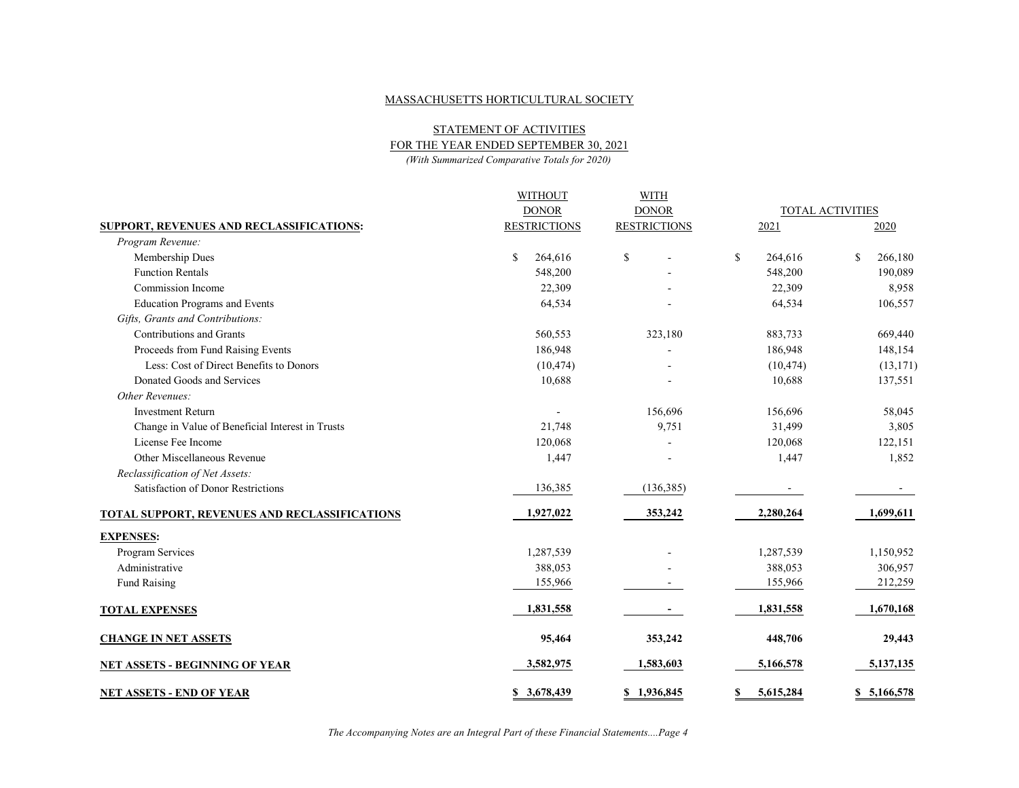STATEMENT OF ACTIVITIES

FOR THE YEAR ENDED SEPTEMBER 30, 2021

*(With Summarized Comparative Totals for 2020)*

|                                                  | <b>WITHOUT</b>      | <b>WITH</b>         |              |                         |               |
|--------------------------------------------------|---------------------|---------------------|--------------|-------------------------|---------------|
|                                                  | <b>DONOR</b>        | <b>DONOR</b>        |              | <b>TOTAL ACTIVITIES</b> |               |
| SUPPORT, REVENUES AND RECLASSIFICATIONS:         | <b>RESTRICTIONS</b> | <b>RESTRICTIONS</b> |              | 2021                    | 2020          |
| Program Revenue:                                 |                     |                     |              |                         |               |
| Membership Dues                                  | \$<br>264,616       | \$                  | $\mathbb{S}$ | 264,616                 | \$<br>266,180 |
| <b>Function Rentals</b>                          | 548,200             |                     |              | 548,200                 | 190,089       |
| Commission Income                                | 22,309              |                     |              | 22,309                  | 8,958         |
| <b>Education Programs and Events</b>             | 64,534              |                     |              | 64,534                  | 106,557       |
| Gifts, Grants and Contributions:                 |                     |                     |              |                         |               |
| Contributions and Grants                         | 560,553             | 323,180             |              | 883,733                 | 669,440       |
| Proceeds from Fund Raising Events                | 186,948             |                     |              | 186,948                 | 148,154       |
| Less: Cost of Direct Benefits to Donors          | (10, 474)           |                     |              | (10, 474)               | (13, 171)     |
| Donated Goods and Services                       | 10,688              |                     |              | 10,688                  | 137,551       |
| Other Revenues:                                  |                     |                     |              |                         |               |
| <b>Investment Return</b>                         |                     | 156,696             |              | 156,696                 | 58,045        |
| Change in Value of Beneficial Interest in Trusts | 21,748              | 9,751               |              | 31,499                  | 3,805         |
| License Fee Income                               | 120,068             |                     |              | 120,068                 | 122,151       |
| Other Miscellaneous Revenue                      | 1,447               |                     |              | 1,447                   | 1,852         |
| Reclassification of Net Assets:                  |                     |                     |              |                         |               |
| Satisfaction of Donor Restrictions               | 136,385             | (136, 385)          |              |                         |               |
| TOTAL SUPPORT, REVENUES AND RECLASSIFICATIONS    | 1,927,022           | 353,242             |              | 2,280,264               | 1,699,611     |
| <b>EXPENSES:</b>                                 |                     |                     |              |                         |               |
| Program Services                                 | 1,287,539           |                     |              | 1,287,539               | 1,150,952     |
| Administrative                                   | 388,053             |                     |              | 388,053                 | 306,957       |
| <b>Fund Raising</b>                              | 155,966             |                     |              | 155,966                 | 212,259       |
| <b>TOTAL EXPENSES</b>                            | 1,831,558           |                     |              | 1,831,558               | 1,670,168     |
| <b>CHANGE IN NET ASSETS</b>                      | 95,464              | 353,242             |              | 448,706                 | 29,443        |
| <b>NET ASSETS - BEGINNING OF YEAR</b>            | 3,582,975           | 1,583,603           |              | 5,166,578               | 5,137,135     |
| <b>NET ASSETS - END OF YEAR</b>                  | \$3,678,439         | \$1,936,845         | \$           | 5,615,284               | \$5,166,578   |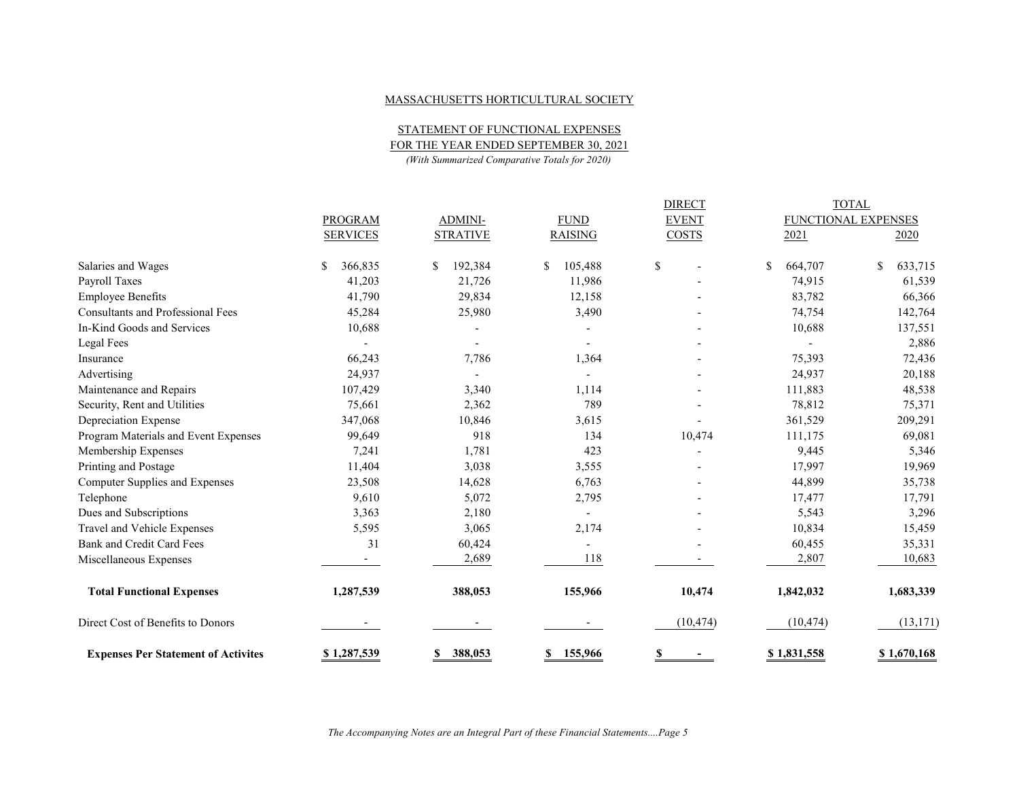STATEMENT OF FUNCTIONAL EXPENSES

FOR THE YEAR ENDED SEPTEMBER 30, 2021

*(With Summarized Comparative Totals for 2020)*

|                                            |                          |                 |                          | <b>DIRECT</b>                            |               | <b>TOTAL</b>        |
|--------------------------------------------|--------------------------|-----------------|--------------------------|------------------------------------------|---------------|---------------------|
|                                            | <b>PROGRAM</b>           | <b>ADMINI-</b>  | <b>FUND</b>              | <b>EVENT</b>                             |               | FUNCTIONAL EXPENSES |
|                                            | <b>SERVICES</b>          | <b>STRATIVE</b> | <b>RAISING</b>           | <b>COSTS</b>                             | 2021          | 2020                |
| Salaries and Wages                         | \$<br>366,835            | 192,384<br>\$   | $\mathbb{S}$<br>105,488  | $\mathbb{S}$<br>$\overline{\phantom{a}}$ | 664,707<br>\$ | \$<br>633,715       |
| Payroll Taxes                              | 41,203                   | 21,726          | 11,986                   |                                          | 74,915        | 61,539              |
| <b>Employee Benefits</b>                   | 41,790                   | 29,834          | 12,158                   |                                          | 83,782        | 66,366              |
| <b>Consultants and Professional Fees</b>   | 45,284                   | 25,980          | 3,490                    |                                          | 74,754        | 142,764             |
| In-Kind Goods and Services                 | 10,688                   |                 | $\overline{\phantom{a}}$ |                                          | 10,688        | 137,551             |
| Legal Fees                                 |                          |                 |                          |                                          |               | 2,886               |
| Insurance                                  | 66,243                   | 7,786           | 1,364                    |                                          | 75,393        | 72,436              |
| Advertising                                | 24,937                   |                 |                          |                                          | 24,937        | 20,188              |
| Maintenance and Repairs                    | 107,429                  | 3,340           | 1,114                    |                                          | 111,883       | 48,538              |
| Security, Rent and Utilities               | 75,661                   | 2,362           | 789                      |                                          | 78,812        | 75,371              |
| Depreciation Expense                       | 347,068                  | 10,846          | 3,615                    |                                          | 361,529       | 209,291             |
| Program Materials and Event Expenses       | 99,649                   | 918             | 134                      | 10,474                                   | 111,175       | 69,081              |
| Membership Expenses                        | 7,241                    | 1,781           | 423                      |                                          | 9,445         | 5,346               |
| Printing and Postage                       | 11,404                   | 3,038           | 3,555                    |                                          | 17,997        | 19,969              |
| Computer Supplies and Expenses             | 23,508                   | 14,628          | 6,763                    |                                          | 44,899        | 35,738              |
| Telephone                                  | 9,610                    | 5,072           | 2,795                    |                                          | 17,477        | 17,791              |
| Dues and Subscriptions                     | 3,363                    | 2,180           | $\overline{\phantom{a}}$ |                                          | 5,543         | 3,296               |
| Travel and Vehicle Expenses                | 5,595                    | 3,065           | 2,174                    |                                          | 10,834        | 15,459              |
| Bank and Credit Card Fees                  | 31                       | 60,424          | $\blacksquare$           |                                          | 60,455        | 35,331              |
| Miscellaneous Expenses                     | $\overline{\phantom{a}}$ | 2,689           | 118                      |                                          | 2,807         | 10,683              |
| <b>Total Functional Expenses</b>           | 1,287,539                | 388,053         | 155,966                  | 10,474                                   | 1,842,032     | 1,683,339           |
| Direct Cost of Benefits to Donors          |                          |                 |                          | (10, 474)                                | (10, 474)     | (13, 171)           |
| <b>Expenses Per Statement of Activites</b> | \$1,287,539              | 388,053<br>S    | 155,966<br>S.            | S                                        | \$1,831,558   | \$1,670,168         |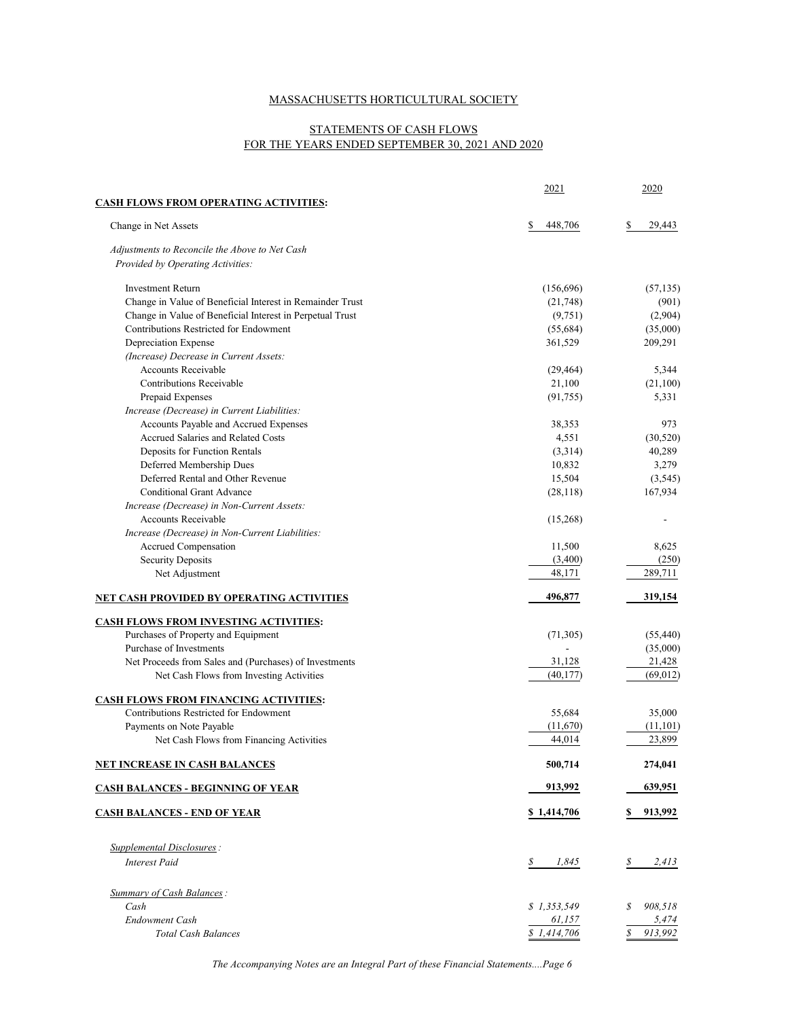# STATEMENTS OF CASH FLOWS FOR THE YEARS ENDED SEPTEMBER 30, 2021 AND 2020

|                                                                                     | 2021          | <u>2020</u>   |
|-------------------------------------------------------------------------------------|---------------|---------------|
| <b>CASH FLOWS FROM OPERATING ACTIVITIES:</b>                                        |               |               |
| Change in Net Assets                                                                | 448,706<br>\$ | \$<br>29,443  |
| Adjustments to Reconcile the Above to Net Cash                                      |               |               |
| Provided by Operating Activities:                                                   |               |               |
| <b>Investment Return</b>                                                            | (156, 696)    | (57, 135)     |
| Change in Value of Beneficial Interest in Remainder Trust                           | (21,748)      | (901)         |
| Change in Value of Beneficial Interest in Perpetual Trust                           | (9,751)       | (2,904)       |
| Contributions Restricted for Endowment                                              | (55,684)      | (35,000)      |
| Depreciation Expense                                                                | 361,529       | 209,291       |
| (Increase) Decrease in Current Assets:                                              |               |               |
| <b>Accounts Receivable</b>                                                          | (29, 464)     | 5,344         |
| Contributions Receivable                                                            | 21,100        | (21,100)      |
| Prepaid Expenses                                                                    | (91, 755)     | 5,331         |
| Increase (Decrease) in Current Liabilities:                                         |               |               |
| Accounts Payable and Accrued Expenses                                               | 38,353        | 973           |
| Accrued Salaries and Related Costs                                                  | 4,551         | (30,520)      |
| Deposits for Function Rentals                                                       | (3,314)       | 40,289        |
| Deferred Membership Dues                                                            | 10,832        | 3,279         |
| Deferred Rental and Other Revenue                                                   | 15,504        | (3,545)       |
| <b>Conditional Grant Advance</b>                                                    | (28, 118)     | 167,934       |
| Increase (Decrease) in Non-Current Assets:<br><b>Accounts Receivable</b>            | (15,268)      |               |
| Increase (Decrease) in Non-Current Liabilities:                                     |               |               |
| Accrued Compensation                                                                | 11,500        | 8,625         |
| <b>Security Deposits</b>                                                            | (3,400)       | (250)         |
| Net Adjustment                                                                      | 48,171        | 289,711       |
| <b>NET CASH PROVIDED BY OPERATING ACTIVITIES</b>                                    | 496,877       | 319,154       |
|                                                                                     |               |               |
| <b>CASH FLOWS FROM INVESTING ACTIVITIES:</b><br>Purchases of Property and Equipment | (71,305)      | (55, 440)     |
| Purchase of Investments                                                             |               | (35,000)      |
| Net Proceeds from Sales and (Purchases) of Investments                              | 31,128        | 21,428        |
| Net Cash Flows from Investing Activities                                            | (40, 177)     | (69, 012)     |
| <b>CASH FLOWS FROM FINANCING ACTIVITIES:</b>                                        |               |               |
| Contributions Restricted for Endowment                                              | 55,684        | 35,000        |
| Payments on Note Payable                                                            | (11,670)      | (11, 101)     |
| Net Cash Flows from Financing Activities                                            | 44,014        | 23,899        |
| <u>NET INCREASE IN CASH BALANCES</u>                                                | 500,714       | 274,041       |
| <b>CASH BALANCES - BEGINNING OF YEAR</b>                                            | 913,992       | 639,951       |
| <b>CASH BALANCES - END OF YEAR</b>                                                  | \$1,414,706   | 913,992<br>S. |
|                                                                                     |               |               |
| Supplemental Disclosures:                                                           |               |               |
| <b>Interest Paid</b>                                                                | \$<br>1,845   | \$<br>2,413   |
| Summary of Cash Balances:                                                           |               |               |
| Cash                                                                                | \$1,353,549   | 908,518<br>\$ |
| <b>Endowment Cash</b>                                                               | 61,157        | 5,474         |
| <b>Total Cash Balances</b>                                                          | \$1,414,706   | 913,992<br>S  |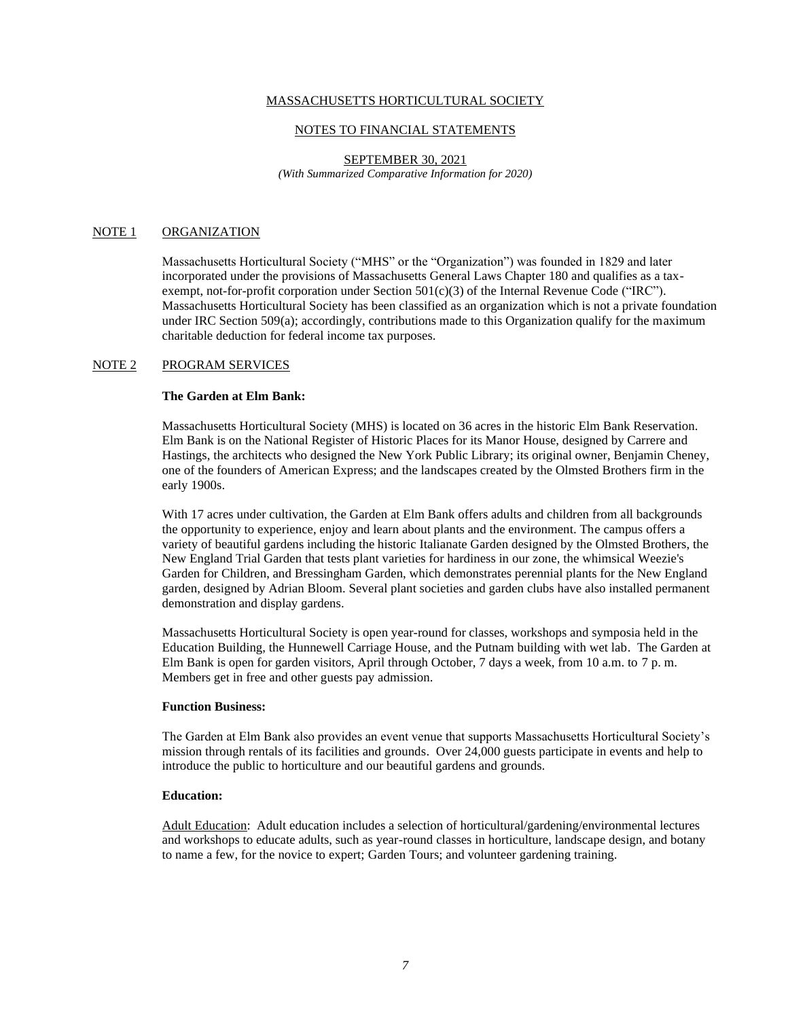### NOTES TO FINANCIAL STATEMENTS

### SEPTEMBER 30, 2021 *(With Summarized Comparative Information for 2020)*

# NOTE 1 ORGANIZATION

Massachusetts Horticultural Society ("MHS" or the "Organization") was founded in 1829 and later incorporated under the provisions of Massachusetts General Laws Chapter 180 and qualifies as a taxexempt, not-for-profit corporation under Section 501(c)(3) of the Internal Revenue Code ("IRC"). Massachusetts Horticultural Society has been classified as an organization which is not a private foundation under IRC Section 509(a); accordingly, contributions made to this Organization qualify for the maximum charitable deduction for federal income tax purposes.

### NOTE 2 PROGRAM SERVICES

## **The Garden at Elm Bank:**

Massachusetts Horticultural Society (MHS) is located on 36 acres in the historic Elm Bank Reservation. Elm Bank is on the National Register of Historic Places for its Manor House, designed by Carrere and Hastings, the architects who designed the New York Public Library; its original owner, Benjamin Cheney, one of the founders of American Express; and the landscapes created by the Olmsted Brothers firm in the early 1900s.

With 17 acres under cultivation, the Garden at Elm Bank offers adults and children from all backgrounds the opportunity to experience, enjoy and learn about plants and the environment. The campus offers a variety of beautiful gardens including the historic Italianate Garden designed by the Olmsted Brothers, the New England Trial Garden that tests plant varieties for hardiness in our zone, the whimsical Weezie's Garden for Children, and Bressingham Garden, which demonstrates perennial plants for the New England garden, designed by Adrian Bloom. Several plant societies and garden clubs have also installed permanent demonstration and display gardens.

Massachusetts Horticultural Society is open year-round for classes, workshops and symposia held in the Education Building, the Hunnewell Carriage House, and the Putnam building with wet lab. The Garden at Elm Bank is open for garden visitors, April through October, 7 days a week, from 10 a.m. to 7 p. m. Members get in free and other guests pay admission.

### **Function Business:**

The Garden at Elm Bank also provides an event venue that supports Massachusetts Horticultural Society's mission through rentals of its facilities and grounds. Over 24,000 guests participate in events and help to introduce the public to horticulture and our beautiful gardens and grounds.

## **Education:**

Adult Education: Adult education includes a selection of horticultural/gardening/environmental lectures and workshops to educate adults, such as year-round classes in horticulture, landscape design, and botany to name a few, for the novice to expert; Garden Tours; and volunteer gardening training.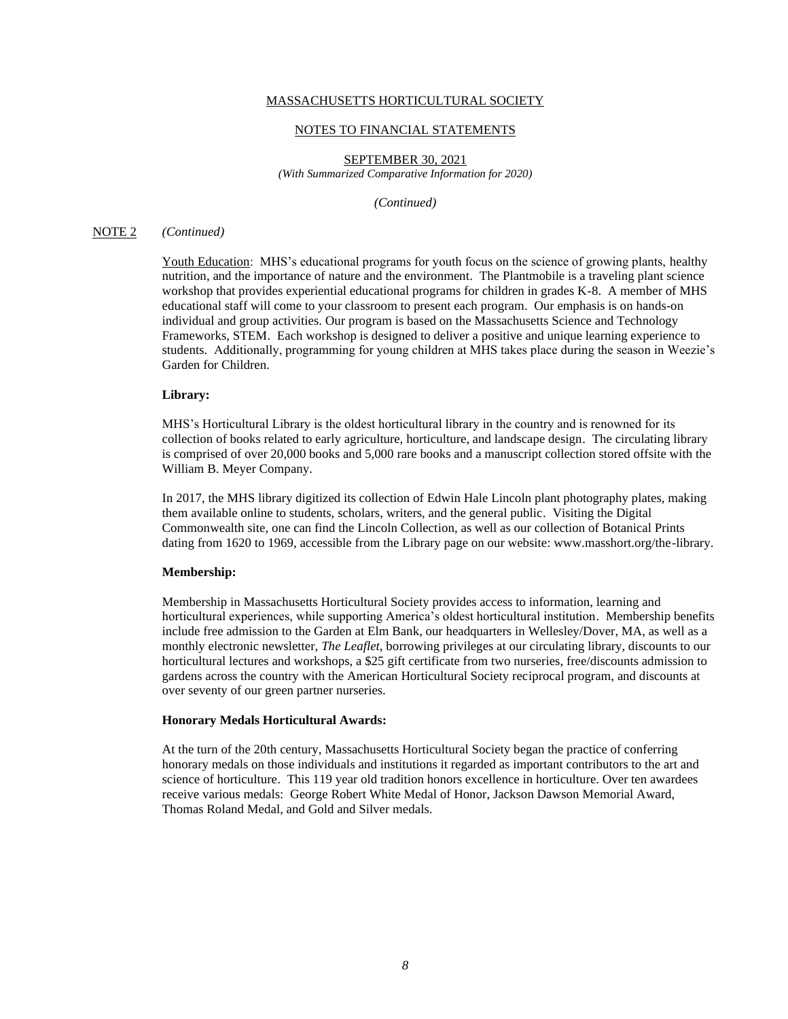### NOTES TO FINANCIAL STATEMENTS

SEPTEMBER 30, 2021 *(With Summarized Comparative Information for 2020)*

*(Continued)*

## NOTE 2 *(Continued)*

Youth Education: MHS's educational programs for youth focus on the science of growing plants, healthy nutrition, and the importance of nature and the environment. The Plantmobile is a traveling plant science workshop that provides experiential educational programs for children in grades K-8. A member of MHS educational staff will come to your classroom to present each program. Our emphasis is on hands-on individual and group activities. Our program is based on the Massachusetts Science and Technology Frameworks, STEM. Each workshop is designed to deliver a positive and unique learning experience to students. Additionally, programming for young children at MHS takes place during the season in Weezie's Garden for Children.

### **Library:**

MHS's Horticultural Library is the oldest horticultural library in the country and is renowned for its collection of books related to early agriculture, horticulture, and landscape design. The circulating library is comprised of over 20,000 books and 5,000 rare books and a manuscript collection stored offsite with the William B. Meyer Company.

In 2017, the MHS library digitized its collection of Edwin Hale Lincoln plant photography plates, making them available online to students, scholars, writers, and the general public. Visiting the Digital Commonwealth site, one can find the Lincoln Collection, as well as our collection of Botanical Prints dating from 1620 to 1969, accessible from the Library page on our website: www.masshort.org/the-library.

## **Membership:**

Membership in Massachusetts Horticultural Society provides access to information, learning and horticultural experiences, while supporting America's oldest horticultural institution. Membership benefits include free admission to the Garden at Elm Bank, our headquarters in Wellesley/Dover, MA, as well as a monthly electronic newsletter, *The Leaflet*, borrowing privileges at our circulating library, discounts to our horticultural lectures and workshops, a \$25 gift certificate from two nurseries, free/discounts admission to gardens across the country with the American Horticultural Society reciprocal program, and discounts at over seventy of our green partner nurseries.

## **Honorary Medals Horticultural Awards:**

At the turn of the 20th century, Massachusetts Horticultural Society began the practice of conferring honorary medals on those individuals and institutions it regarded as important contributors to the art and science of horticulture. This 119 year old tradition honors excellence in horticulture. Over ten awardees receive various medals: George Robert White Medal of Honor, Jackson Dawson Memorial Award, Thomas Roland Medal, and Gold and Silver medals.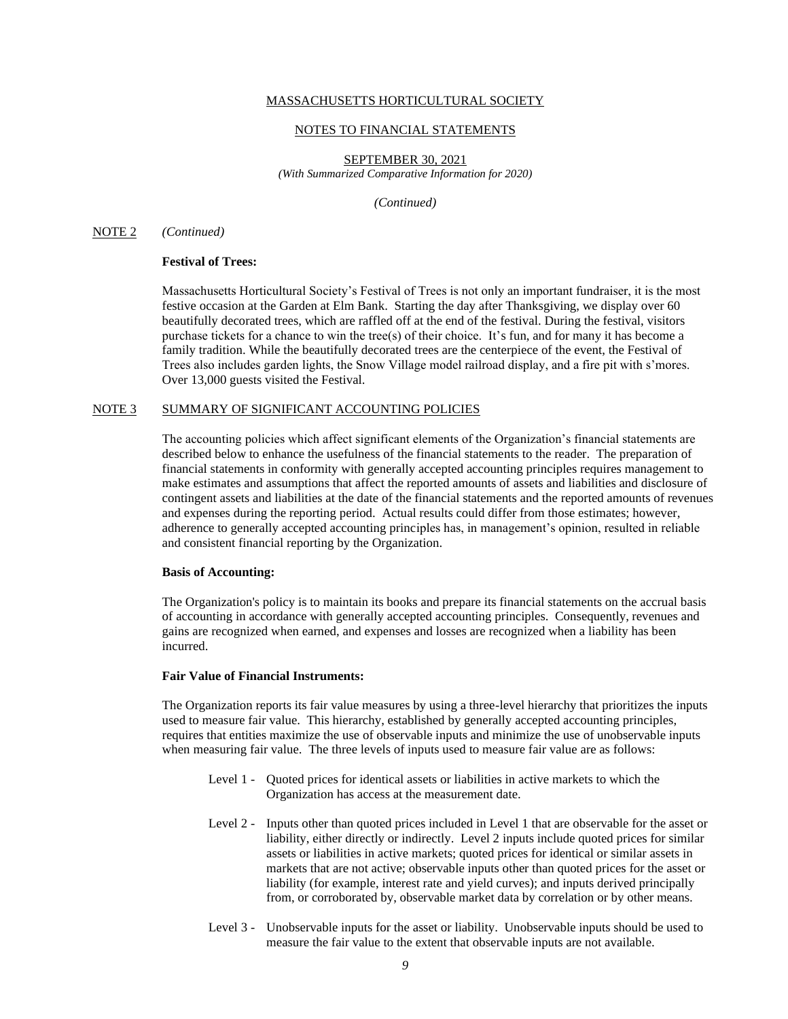### NOTES TO FINANCIAL STATEMENTS

SEPTEMBER 30, 2021 *(With Summarized Comparative Information for 2020)*

*(Continued)*

## NOTE 2 *(Continued)*

# **Festival of Trees:**

Massachusetts Horticultural Society's Festival of Trees is not only an important fundraiser, it is the most festive occasion at the Garden at Elm Bank. Starting the day after Thanksgiving, we display over 60 beautifully decorated trees, which are raffled off at the end of the festival. During the festival, visitors purchase tickets for a chance to win the tree(s) of their choice. It's fun, and for many it has become a family tradition. While the beautifully decorated trees are the centerpiece of the event, the Festival of Trees also includes garden lights, the Snow Village model railroad display, and a fire pit with s'mores. Over 13,000 guests visited the Festival.

## NOTE 3 SUMMARY OF SIGNIFICANT ACCOUNTING POLICIES

The accounting policies which affect significant elements of the Organization's financial statements are described below to enhance the usefulness of the financial statements to the reader. The preparation of financial statements in conformity with generally accepted accounting principles requires management to make estimates and assumptions that affect the reported amounts of assets and liabilities and disclosure of contingent assets and liabilities at the date of the financial statements and the reported amounts of revenues and expenses during the reporting period. Actual results could differ from those estimates; however, adherence to generally accepted accounting principles has, in management's opinion, resulted in reliable and consistent financial reporting by the Organization.

### **Basis of Accounting:**

The Organization's policy is to maintain its books and prepare its financial statements on the accrual basis of accounting in accordance with generally accepted accounting principles. Consequently, revenues and gains are recognized when earned, and expenses and losses are recognized when a liability has been incurred.

### **Fair Value of Financial Instruments:**

The Organization reports its fair value measures by using a three-level hierarchy that prioritizes the inputs used to measure fair value. This hierarchy, established by generally accepted accounting principles, requires that entities maximize the use of observable inputs and minimize the use of unobservable inputs when measuring fair value. The three levels of inputs used to measure fair value are as follows:

- Level 1 Quoted prices for identical assets or liabilities in active markets to which the Organization has access at the measurement date.
- Level 2 Inputs other than quoted prices included in Level 1 that are observable for the asset or liability, either directly or indirectly. Level 2 inputs include quoted prices for similar assets or liabilities in active markets; quoted prices for identical or similar assets in markets that are not active; observable inputs other than quoted prices for the asset or liability (for example, interest rate and yield curves); and inputs derived principally from, or corroborated by, observable market data by correlation or by other means.
- Level 3 Unobservable inputs for the asset or liability. Unobservable inputs should be used to measure the fair value to the extent that observable inputs are not available.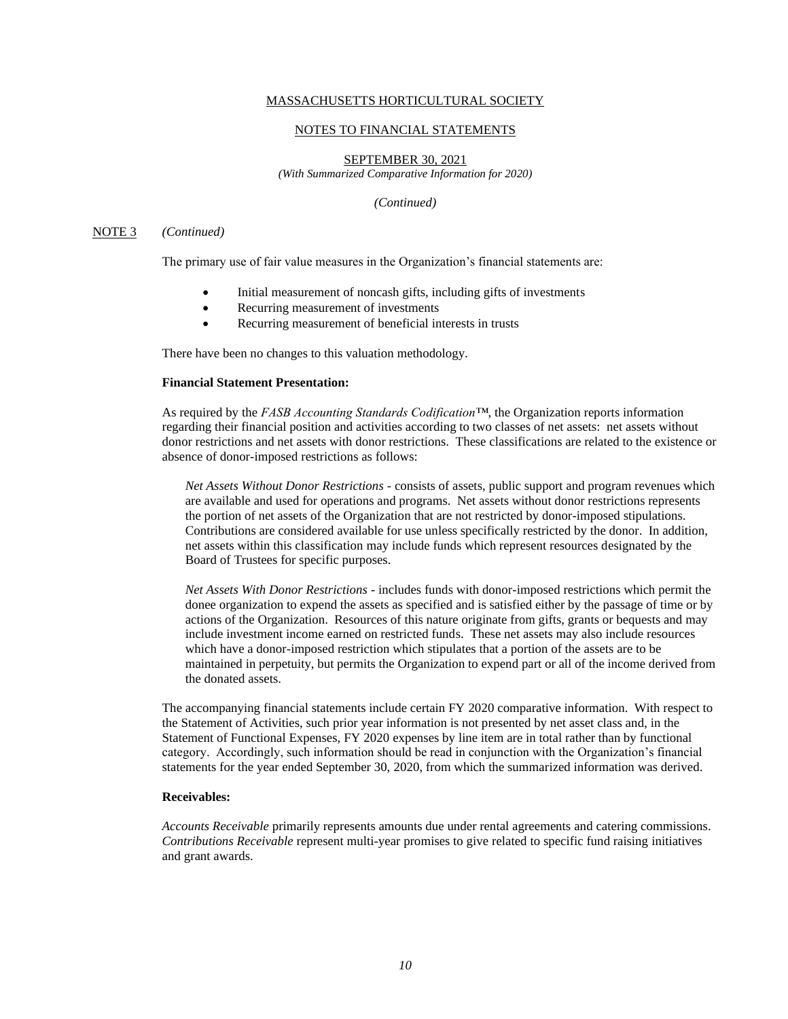### NOTES TO FINANCIAL STATEMENTS

SEPTEMBER 30, 2021

*(With Summarized Comparative Information for 2020)*

*(Continued)*

### NOTE 3 *(Continued)*

The primary use of fair value measures in the Organization's financial statements are:

- Initial measurement of noncash gifts, including gifts of investments
- Recurring measurement of investments
- Recurring measurement of beneficial interests in trusts

There have been no changes to this valuation methodology.

# **Financial Statement Presentation:**

As required by the *FASB Accounting Standards Codification™*, the Organization reports information regarding their financial position and activities according to two classes of net assets: net assets without donor restrictions and net assets with donor restrictions. These classifications are related to the existence or absence of donor-imposed restrictions as follows:

*Net Assets Without Donor Restrictions* - consists of assets, public support and program revenues which are available and used for operations and programs. Net assets without donor restrictions represents the portion of net assets of the Organization that are not restricted by donor-imposed stipulations. Contributions are considered available for use unless specifically restricted by the donor. In addition, net assets within this classification may include funds which represent resources designated by the Board of Trustees for specific purposes.

*Net Assets With Donor Restrictions* - includes funds with donor-imposed restrictions which permit the donee organization to expend the assets as specified and is satisfied either by the passage of time or by actions of the Organization. Resources of this nature originate from gifts, grants or bequests and may include investment income earned on restricted funds. These net assets may also include resources which have a donor-imposed restriction which stipulates that a portion of the assets are to be maintained in perpetuity, but permits the Organization to expend part or all of the income derived from the donated assets.

The accompanying financial statements include certain FY 2020 comparative information. With respect to the Statement of Activities, such prior year information is not presented by net asset class and, in the Statement of Functional Expenses, FY 2020 expenses by line item are in total rather than by functional category. Accordingly, such information should be read in conjunction with the Organization's financial statements for the year ended September 30, 2020, from which the summarized information was derived.

## **Receivables:**

*Accounts Receivable* primarily represents amounts due under rental agreements and catering commissions. *Contributions Receivable* represent multi-year promises to give related to specific fund raising initiatives and grant awards.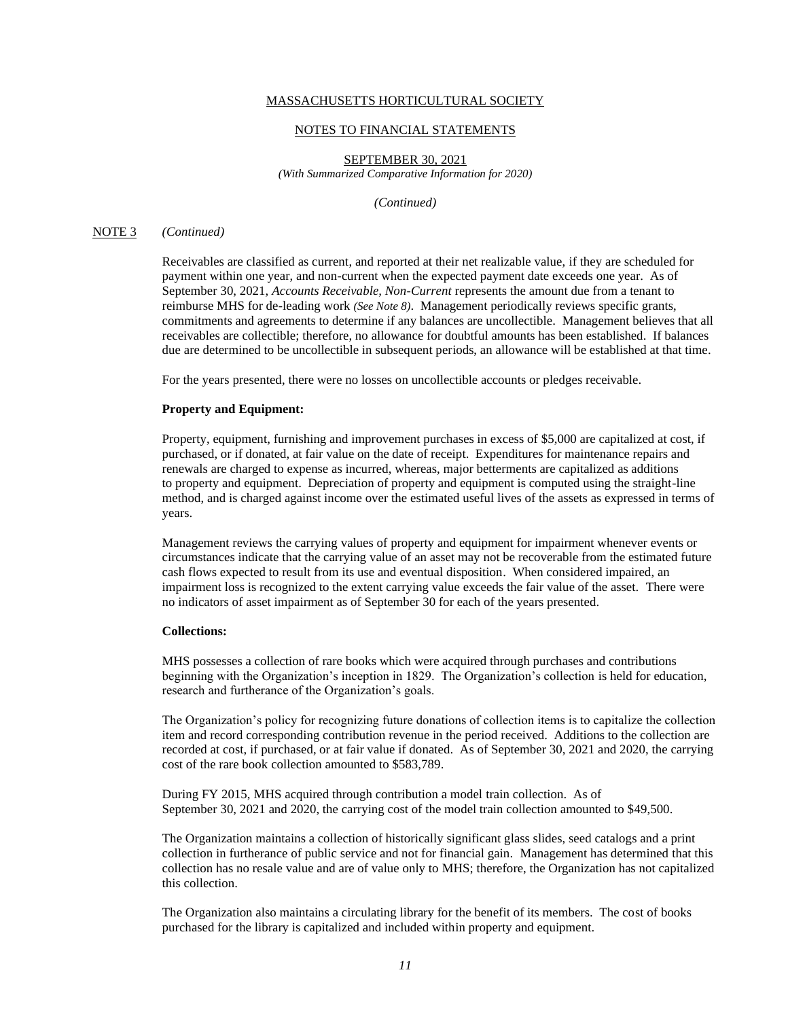### NOTES TO FINANCIAL STATEMENTS

SEPTEMBER 30, 2021 *(With Summarized Comparative Information for 2020)*

*(Continued)*

## NOTE 3 *(Continued)*

Receivables are classified as current, and reported at their net realizable value, if they are scheduled for payment within one year, and non-current when the expected payment date exceeds one year. As of September 30, 2021, *Accounts Receivable, Non-Current* represents the amount due from a tenant to reimburse MHS for de-leading work *(See Note 8)*. Management periodically reviews specific grants, commitments and agreements to determine if any balances are uncollectible. Management believes that all receivables are collectible; therefore, no allowance for doubtful amounts has been established. If balances due are determined to be uncollectible in subsequent periods, an allowance will be established at that time.

For the years presented, there were no losses on uncollectible accounts or pledges receivable.

#### **Property and Equipment:**

Property, equipment, furnishing and improvement purchases in excess of \$5,000 are capitalized at cost, if purchased, or if donated, at fair value on the date of receipt. Expenditures for maintenance repairs and renewals are charged to expense as incurred, whereas, major betterments are capitalized as additions to property and equipment. Depreciation of property and equipment is computed using the straight-line method, and is charged against income over the estimated useful lives of the assets as expressed in terms of years.

Management reviews the carrying values of property and equipment for impairment whenever events or circumstances indicate that the carrying value of an asset may not be recoverable from the estimated future cash flows expected to result from its use and eventual disposition. When considered impaired, an impairment loss is recognized to the extent carrying value exceeds the fair value of the asset. There were no indicators of asset impairment as of September 30 for each of the years presented.

### **Collections:**

MHS possesses a collection of rare books which were acquired through purchases and contributions beginning with the Organization's inception in 1829. The Organization's collection is held for education, research and furtherance of the Organization's goals.

The Organization's policy for recognizing future donations of collection items is to capitalize the collection item and record corresponding contribution revenue in the period received. Additions to the collection are recorded at cost, if purchased, or at fair value if donated. As of September 30, 2021 and 2020, the carrying cost of the rare book collection amounted to \$583,789.

During FY 2015, MHS acquired through contribution a model train collection. As of September 30, 2021 and 2020, the carrying cost of the model train collection amounted to \$49,500.

The Organization maintains a collection of historically significant glass slides, seed catalogs and a print collection in furtherance of public service and not for financial gain. Management has determined that this collection has no resale value and are of value only to MHS; therefore, the Organization has not capitalized this collection.

The Organization also maintains a circulating library for the benefit of its members. The cost of books purchased for the library is capitalized and included within property and equipment.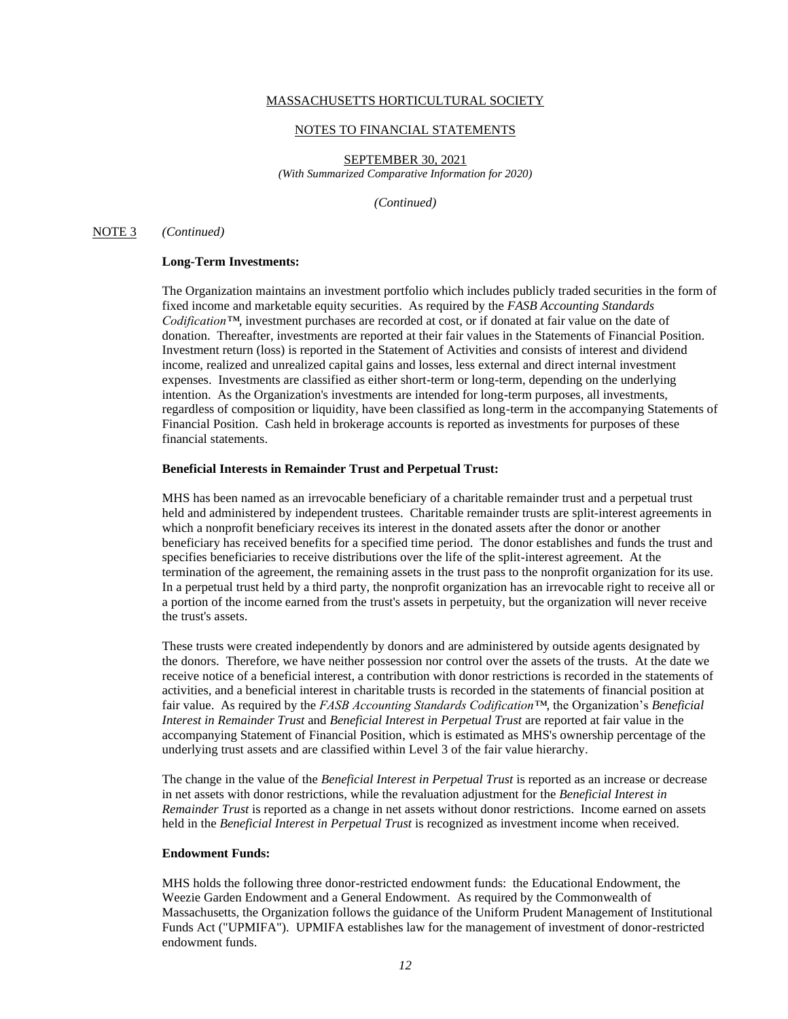### NOTES TO FINANCIAL STATEMENTS

SEPTEMBER 30, 2021 *(With Summarized Comparative Information for 2020)*

*(Continued)*

### NOTE 3 *(Continued)*

# **Long-Term Investments:**

The Organization maintains an investment portfolio which includes publicly traded securities in the form of fixed income and marketable equity securities. As required by the *FASB Accounting Standards Codification™*, investment purchases are recorded at cost, or if donated at fair value on the date of donation. Thereafter, investments are reported at their fair values in the Statements of Financial Position. Investment return (loss) is reported in the Statement of Activities and consists of interest and dividend income, realized and unrealized capital gains and losses, less external and direct internal investment expenses. Investments are classified as either short-term or long-term, depending on the underlying intention. As the Organization's investments are intended for long-term purposes, all investments, regardless of composition or liquidity, have been classified as long-term in the accompanying Statements of Financial Position. Cash held in brokerage accounts is reported as investments for purposes of these financial statements.

### **Beneficial Interests in Remainder Trust and Perpetual Trust:**

MHS has been named as an irrevocable beneficiary of a charitable remainder trust and a perpetual trust held and administered by independent trustees. Charitable remainder trusts are split-interest agreements in which a nonprofit beneficiary receives its interest in the donated assets after the donor or another beneficiary has received benefits for a specified time period. The donor establishes and funds the trust and specifies beneficiaries to receive distributions over the life of the split-interest agreement. At the termination of the agreement, the remaining assets in the trust pass to the nonprofit organization for its use. In a perpetual trust held by a third party, the nonprofit organization has an irrevocable right to receive all or a portion of the income earned from the trust's assets in perpetuity, but the organization will never receive the trust's assets.

These trusts were created independently by donors and are administered by outside agents designated by the donors. Therefore, we have neither possession nor control over the assets of the trusts. At the date we receive notice of a beneficial interest, a contribution with donor restrictions is recorded in the statements of activities, and a beneficial interest in charitable trusts is recorded in the statements of financial position at fair value. As required by the *FASB Accounting Standards Codification™*, the Organization's *Beneficial Interest in Remainder Trust* and *Beneficial Interest in Perpetual Trust* are reported at fair value in the accompanying Statement of Financial Position, which is estimated as MHS's ownership percentage of the underlying trust assets and are classified within Level 3 of the fair value hierarchy.

The change in the value of the *Beneficial Interest in Perpetual Trust* is reported as an increase or decrease in net assets with donor restrictions, while the revaluation adjustment for the *Beneficial Interest in Remainder Trust* is reported as a change in net assets without donor restrictions. Income earned on assets held in the *Beneficial Interest in Perpetual Trust* is recognized as investment income when received.

### **Endowment Funds:**

MHS holds the following three donor-restricted endowment funds: the Educational Endowment, the Weezie Garden Endowment and a General Endowment. As required by the Commonwealth of Massachusetts, the Organization follows the guidance of the Uniform Prudent Management of Institutional Funds Act ("UPMIFA"). UPMIFA establishes law for the management of investment of donor-restricted endowment funds.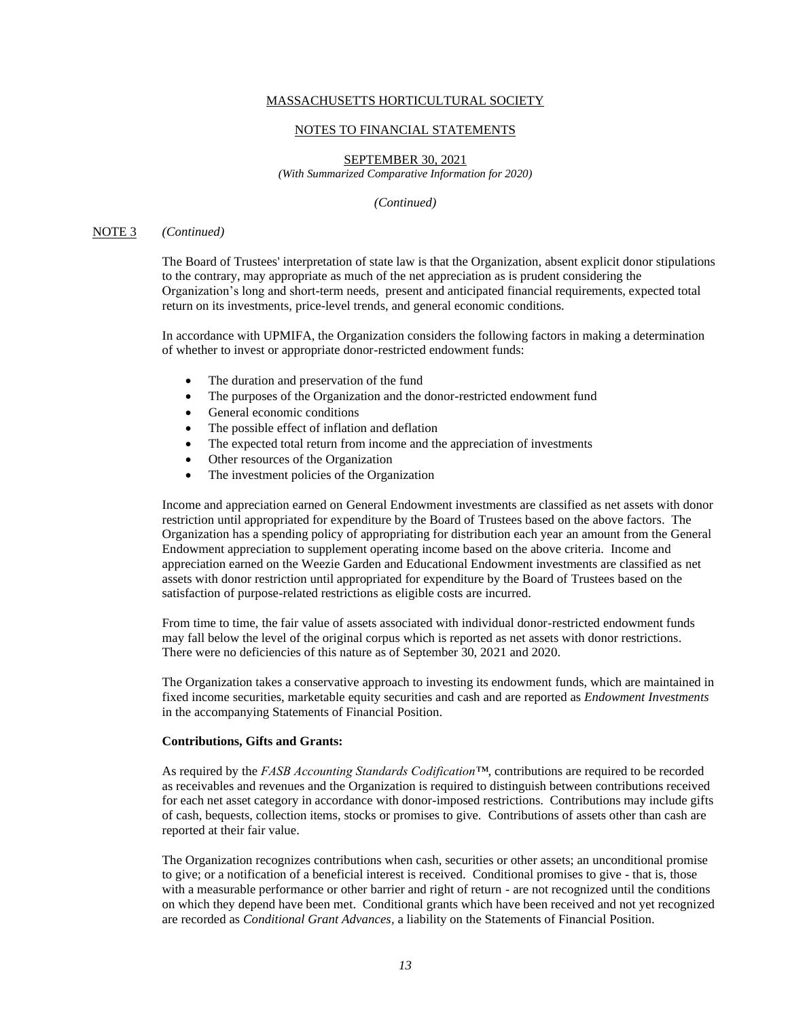### NOTES TO FINANCIAL STATEMENTS

SEPTEMBER 30, 2021 *(With Summarized Comparative Information for 2020)*

*(Continued)*

### NOTE 3 *(Continued)*

The Board of Trustees' interpretation of state law is that the Organization, absent explicit donor stipulations to the contrary, may appropriate as much of the net appreciation as is prudent considering the Organization's long and short-term needs, present and anticipated financial requirements, expected total return on its investments, price-level trends, and general economic conditions.

In accordance with UPMIFA, the Organization considers the following factors in making a determination of whether to invest or appropriate donor-restricted endowment funds:

- The duration and preservation of the fund
- The purposes of the Organization and the donor-restricted endowment fund
- General economic conditions
- The possible effect of inflation and deflation
- The expected total return from income and the appreciation of investments
- Other resources of the Organization
- The investment policies of the Organization

Income and appreciation earned on General Endowment investments are classified as net assets with donor restriction until appropriated for expenditure by the Board of Trustees based on the above factors. The Organization has a spending policy of appropriating for distribution each year an amount from the General Endowment appreciation to supplement operating income based on the above criteria. Income and appreciation earned on the Weezie Garden and Educational Endowment investments are classified as net assets with donor restriction until appropriated for expenditure by the Board of Trustees based on the satisfaction of purpose-related restrictions as eligible costs are incurred.

From time to time, the fair value of assets associated with individual donor-restricted endowment funds may fall below the level of the original corpus which is reported as net assets with donor restrictions. There were no deficiencies of this nature as of September 30, 2021 and 2020.

The Organization takes a conservative approach to investing its endowment funds, which are maintained in fixed income securities, marketable equity securities and cash and are reported as *Endowment Investments*  in the accompanying Statements of Financial Position.

## **Contributions, Gifts and Grants:**

As required by the *FASB Accounting Standards Codification™*, contributions are required to be recorded as receivables and revenues and the Organization is required to distinguish between contributions received for each net asset category in accordance with donor-imposed restrictions. Contributions may include gifts of cash, bequests, collection items, stocks or promises to give. Contributions of assets other than cash are reported at their fair value.

The Organization recognizes contributions when cash, securities or other assets; an unconditional promise to give; or a notification of a beneficial interest is received. Conditional promises to give - that is, those with a measurable performance or other barrier and right of return - are not recognized until the conditions on which they depend have been met. Conditional grants which have been received and not yet recognized are recorded as *Conditional Grant Advances,* a liability on the Statements of Financial Position.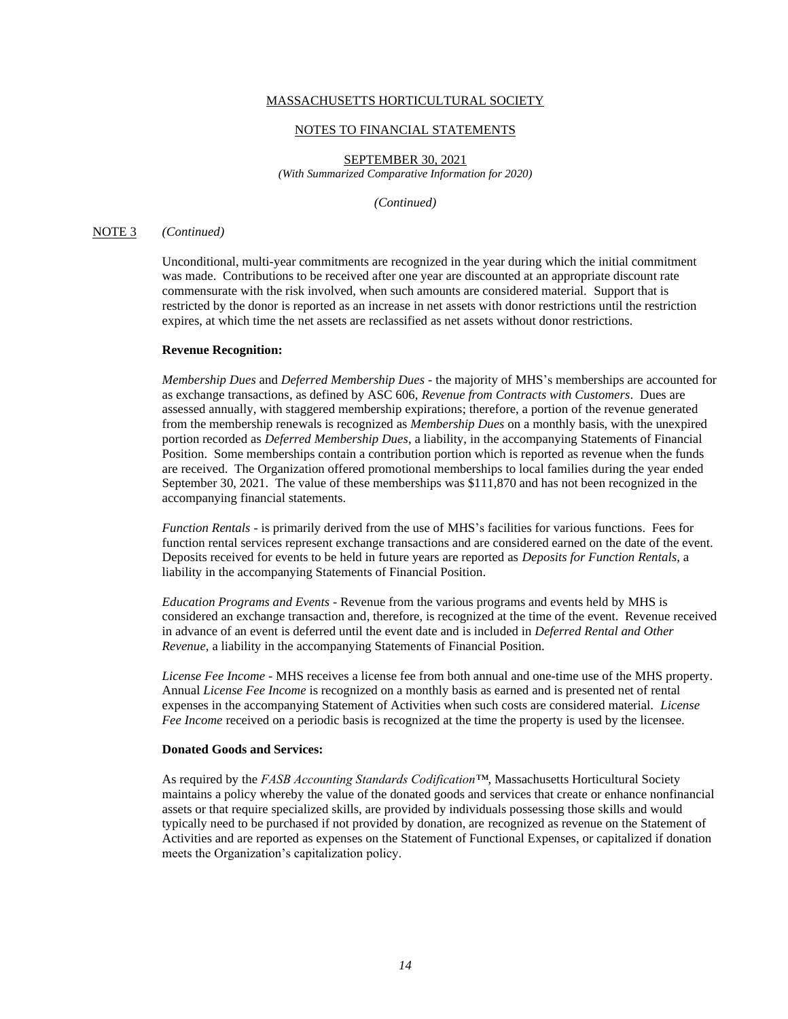#### NOTES TO FINANCIAL STATEMENTS

SEPTEMBER 30, 2021 *(With Summarized Comparative Information for 2020)*

*(Continued)*

## NOTE 3 *(Continued)*

Unconditional, multi-year commitments are recognized in the year during which the initial commitment was made. Contributions to be received after one year are discounted at an appropriate discount rate commensurate with the risk involved, when such amounts are considered material. Support that is restricted by the donor is reported as an increase in net assets with donor restrictions until the restriction expires, at which time the net assets are reclassified as net assets without donor restrictions.

#### **Revenue Recognition:**

*Membership Dues* and *Deferred Membership Dues* - the majority of MHS's memberships are accounted for as exchange transactions, as defined by ASC 606, *Revenue from Contracts with Customers*. Dues are assessed annually, with staggered membership expirations; therefore, a portion of the revenue generated from the membership renewals is recognized as *Membership Dues* on a monthly basis, with the unexpired portion recorded as *Deferred Membership Dues*, a liability, in the accompanying Statements of Financial Position. Some memberships contain a contribution portion which is reported as revenue when the funds are received. The Organization offered promotional memberships to local families during the year ended September 30, 2021. The value of these memberships was \$111,870 and has not been recognized in the accompanying financial statements.

*Function Rentals* - is primarily derived from the use of MHS's facilities for various functions. Fees for function rental services represent exchange transactions and are considered earned on the date of the event. Deposits received for events to be held in future years are reported as *Deposits for Function Rentals,* a liability in the accompanying Statements of Financial Position.

*Education Programs and Events* - Revenue from the various programs and events held by MHS is considered an exchange transaction and, therefore, is recognized at the time of the event. Revenue received in advance of an event is deferred until the event date and is included in *Deferred Rental and Other Revenue,* a liability in the accompanying Statements of Financial Position.

*License Fee Income* - MHS receives a license fee from both annual and one-time use of the MHS property. Annual *License Fee Income* is recognized on a monthly basis as earned and is presented net of rental expenses in the accompanying Statement of Activities when such costs are considered material. *License Fee Income* received on a periodic basis is recognized at the time the property is used by the licensee.

## **Donated Goods and Services:**

As required by the *FASB Accounting Standards Codification™*, Massachusetts Horticultural Society maintains a policy whereby the value of the donated goods and services that create or enhance nonfinancial assets or that require specialized skills, are provided by individuals possessing those skills and would typically need to be purchased if not provided by donation, are recognized as revenue on the Statement of Activities and are reported as expenses on the Statement of Functional Expenses, or capitalized if donation meets the Organization's capitalization policy.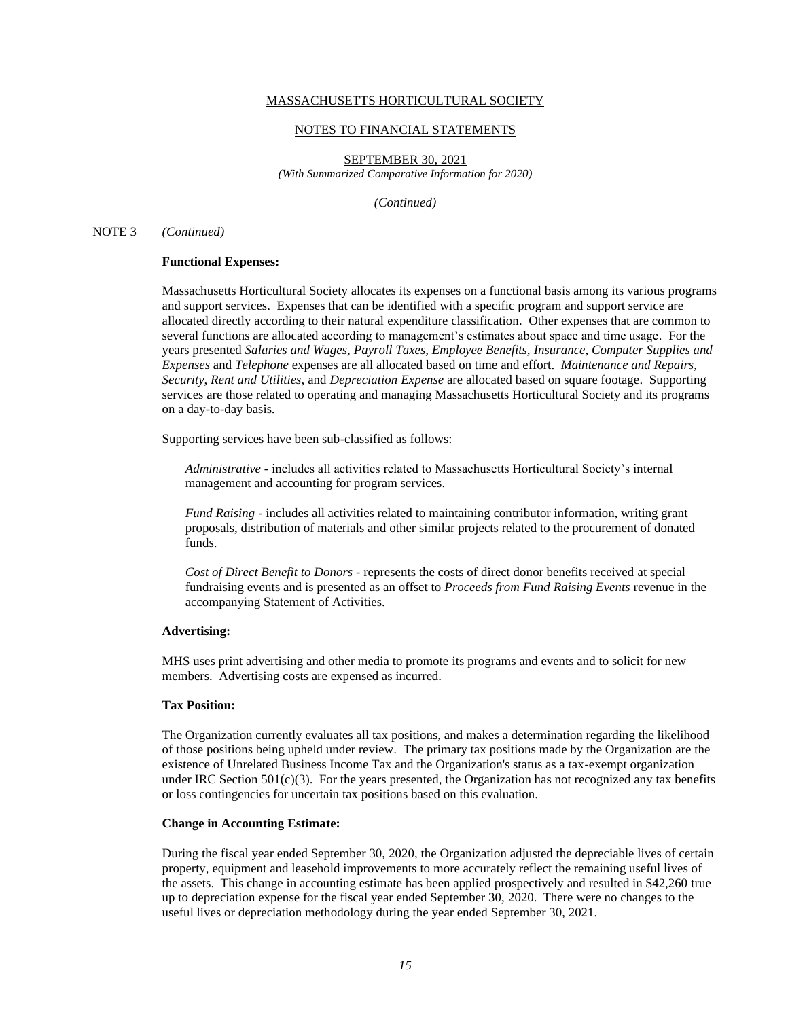#### NOTES TO FINANCIAL STATEMENTS

SEPTEMBER 30, 2021 *(With Summarized Comparative Information for 2020)*

*(Continued)*

### NOTE 3 *(Continued)*

### **Functional Expenses:**

Massachusetts Horticultural Society allocates its expenses on a functional basis among its various programs and support services. Expenses that can be identified with a specific program and support service are allocated directly according to their natural expenditure classification. Other expenses that are common to several functions are allocated according to management's estimates about space and time usage. For the years presented *Salaries and Wages*, *Payroll Taxes, Employee Benefits, Insurance, Computer Supplies and Expenses* and *Telephone* expenses are all allocated based on time and effort. *Maintenance and Repairs, Security, Rent and Utilities,* and *Depreciation Expense* are allocated based on square footage. Supporting services are those related to operating and managing Massachusetts Horticultural Society and its programs on a day-to-day basis.

Supporting services have been sub-classified as follows:

*Administrative* - includes all activities related to Massachusetts Horticultural Society's internal management and accounting for program services.

*Fund Raising* - includes all activities related to maintaining contributor information, writing grant proposals, distribution of materials and other similar projects related to the procurement of donated funds.

*Cost of Direct Benefit to Donors* - represents the costs of direct donor benefits received at special fundraising events and is presented as an offset to *Proceeds from Fund Raising Events* revenue in the accompanying Statement of Activities.

#### **Advertising:**

MHS uses print advertising and other media to promote its programs and events and to solicit for new members. Advertising costs are expensed as incurred.

#### **Tax Position:**

The Organization currently evaluates all tax positions, and makes a determination regarding the likelihood of those positions being upheld under review. The primary tax positions made by the Organization are the existence of Unrelated Business Income Tax and the Organization's status as a tax-exempt organization under IRC Section  $501(c)(3)$ . For the years presented, the Organization has not recognized any tax benefits or loss contingencies for uncertain tax positions based on this evaluation.

### **Change in Accounting Estimate:**

During the fiscal year ended September 30, 2020, the Organization adjusted the depreciable lives of certain property, equipment and leasehold improvements to more accurately reflect the remaining useful lives of the assets. This change in accounting estimate has been applied prospectively and resulted in \$42,260 true up to depreciation expense for the fiscal year ended September 30, 2020. There were no changes to the useful lives or depreciation methodology during the year ended September 30, 2021.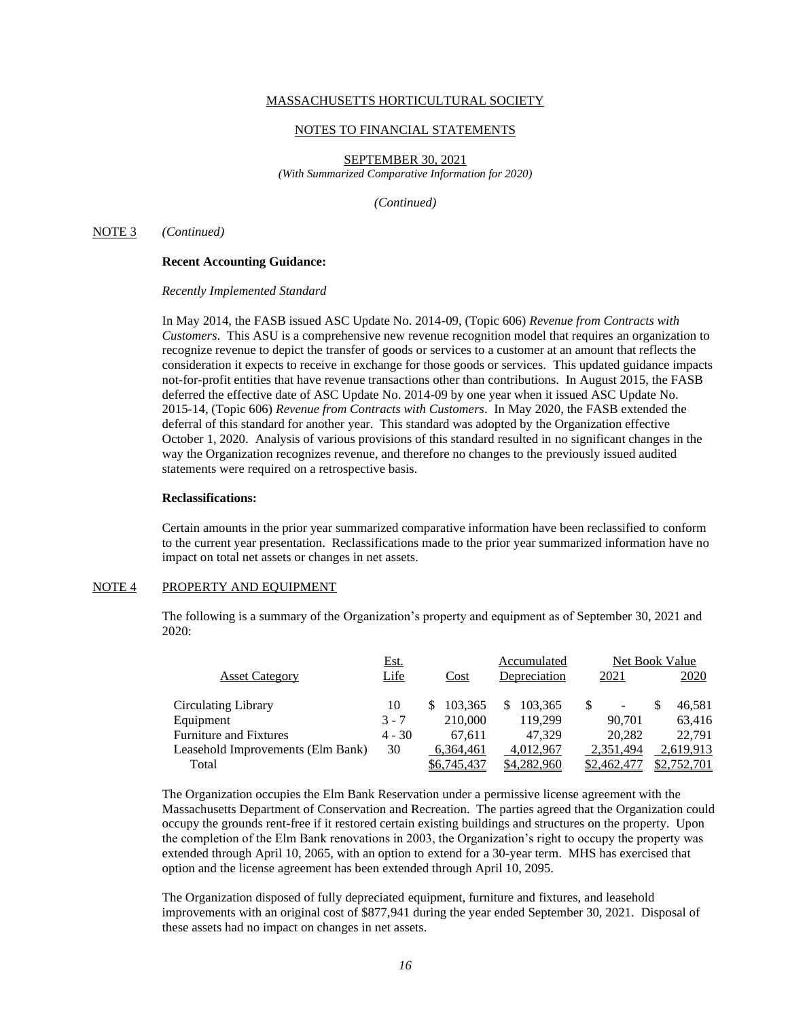#### NOTES TO FINANCIAL STATEMENTS

SEPTEMBER 30, 2021 *(With Summarized Comparative Information for 2020)*

*(Continued)*

#### NOTE 3 *(Continued)*

### **Recent Accounting Guidance:**

*Recently Implemented Standard*

In May 2014, the FASB issued ASC Update No. 2014-09, (Topic 606) *Revenue from Contracts with Customers*. This ASU is a comprehensive new revenue recognition model that requires an organization to recognize revenue to depict the transfer of goods or services to a customer at an amount that reflects the consideration it expects to receive in exchange for those goods or services. This updated guidance impacts not-for-profit entities that have revenue transactions other than contributions. In August 2015, the FASB deferred the effective date of ASC Update No. 2014-09 by one year when it issued ASC Update No. 2015-14, (Topic 606) *Revenue from Contracts with Customers*. In May 2020, the FASB extended the deferral of this standard for another year. This standard was adopted by the Organization effective October 1, 2020. Analysis of various provisions of this standard resulted in no significant changes in the way the Organization recognizes revenue, and therefore no changes to the previously issued audited statements were required on a retrospective basis.

#### **Reclassifications:**

Certain amounts in the prior year summarized comparative information have been reclassified to conform to the current year presentation. Reclassifications made to the prior year summarized information have no impact on total net assets or changes in net assets.

## NOTE 4 PROPERTY AND EQUIPMENT

The following is a summary of the Organization's property and equipment as of September 30, 2021 and 2020:

|                                   | <u>Est.</u> |             |   | Accumulated  | Net Book Value |  |             |  |
|-----------------------------------|-------------|-------------|---|--------------|----------------|--|-------------|--|
| <b>Asset Category</b>             | Life        | Cost        |   | Depreciation | 2021           |  | 2020        |  |
| Circulating Library               | 10          | 103.365     | S | 103.365      | -              |  | 46,581      |  |
| Equipment                         | $3 - 7$     | 210,000     |   | 119.299      | 90.701         |  | 63,416      |  |
| <b>Furniture and Fixtures</b>     | $4 - 30$    | 67.611      |   | 47.329       | 20,282         |  | 22,791      |  |
| Leasehold Improvements (Elm Bank) | 30          | 6.364.461   |   | 4.012.967    | 2,351,494      |  | 2,619,913   |  |
| Total                             |             | \$6,745,437 |   | \$4,282,960  | \$2,462,477    |  | \$2,752,701 |  |

The Organization occupies the Elm Bank Reservation under a permissive license agreement with the Massachusetts Department of Conservation and Recreation. The parties agreed that the Organization could occupy the grounds rent-free if it restored certain existing buildings and structures on the property. Upon the completion of the Elm Bank renovations in 2003, the Organization's right to occupy the property was extended through April 10, 2065, with an option to extend for a 30-year term. MHS has exercised that option and the license agreement has been extended through April 10, 2095.

The Organization disposed of fully depreciated equipment, furniture and fixtures, and leasehold improvements with an original cost of \$877,941 during the year ended September 30, 2021. Disposal of these assets had no impact on changes in net assets.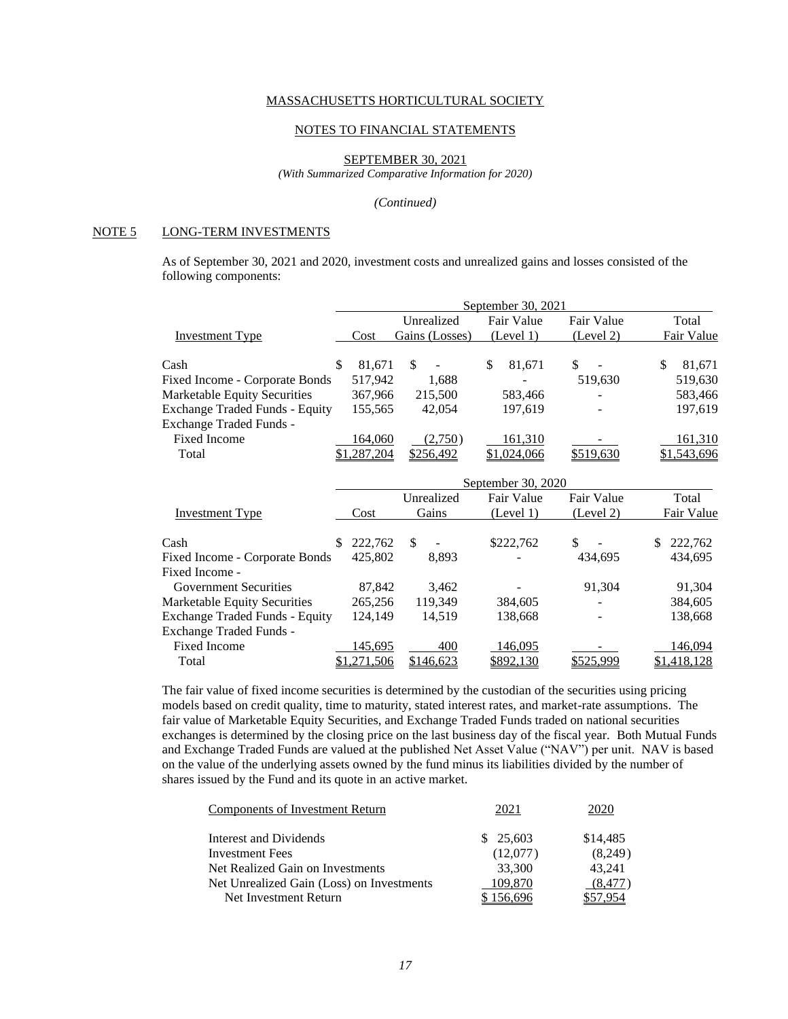#### NOTES TO FINANCIAL STATEMENTS

SEPTEMBER 30, 2021

*(With Summarized Comparative Information for 2020)*

#### *(Continued)*

## NOTE 5 LONG-TERM INVESTMENTS

As of September 30, 2021 and 2020, investment costs and unrealized gains and losses consisted of the following components:

|                                                  | September 30, 2021 |             |    |                |    |                    |  |            |    |             |
|--------------------------------------------------|--------------------|-------------|----|----------------|----|--------------------|--|------------|----|-------------|
|                                                  |                    |             |    | Unrealized     |    | Fair Value         |  | Fair Value |    | Total       |
| <b>Investment Type</b>                           |                    | Cost        |    | Gains (Losses) |    | (Level 1)          |  | (Level 2)  |    | Fair Value  |
| Cash                                             | \$                 | 81,671      | \$ |                | \$ | 81,671             |  | \$         | \$ | 81,671      |
|                                                  |                    | 517,942     |    |                |    |                    |  |            |    |             |
| Fixed Income - Corporate Bonds                   |                    |             |    | 1,688          |    |                    |  | 519,630    |    | 519,630     |
| Marketable Equity Securities                     |                    | 367,966     |    | 215,500        |    | 583,466            |  |            |    | 583,466     |
| <b>Exchange Traded Funds - Equity</b>            |                    | 155,565     |    | 42,054         |    | 197,619            |  |            |    | 197,619     |
| Exchange Traded Funds -                          |                    |             |    |                |    |                    |  |            |    |             |
| <b>Fixed Income</b>                              |                    | 164,060     |    | (2,750)        |    | <u>161,310</u>     |  |            |    | 161,310     |
| Total                                            |                    | \$1,287,204 |    | \$256,492      |    | \$1,024,066        |  | \$519,630  |    | \$1,543,696 |
|                                                  |                    |             |    |                |    | September 30, 2020 |  |            |    |             |
|                                                  |                    |             |    | Unrealized     |    | Fair Value         |  | Fair Value |    | Total       |
| <b>Investment Type</b>                           |                    | Cost        |    | Gains          |    | (Level 1)          |  | (Level 2)  |    | Fair Value  |
| Cash                                             |                    | 222,762     | \$ |                |    | \$222,762          |  | \$         | S  | 222,762     |
|                                                  |                    | 425,802     |    |                |    |                    |  |            |    |             |
| Fixed Income - Corporate Bonds<br>Fixed Income - |                    |             |    | 8,893          |    |                    |  | 434,695    |    | 434,695     |
| <b>Government Securities</b>                     |                    | 87,842      |    | 3,462          |    |                    |  | 91,304     |    | 91,304      |
| Marketable Equity Securities                     |                    | 265,256     |    | 119,349        |    |                    |  |            |    | 384,605     |
|                                                  |                    |             |    |                |    | 384,605            |  |            |    |             |
| <b>Exchange Traded Funds - Equity</b>            |                    | 124,149     |    | 14,519         |    | 138,668            |  |            |    | 138,668     |
| Exchange Traded Funds -                          |                    |             |    |                |    |                    |  |            |    |             |
| <b>Fixed Income</b>                              |                    | 145,695     |    | 400            |    | 146,095            |  |            |    | 146,094     |
| Total                                            |                    | \$1,271,506 |    | \$146,623      |    | \$892,130          |  | \$525,999  |    | \$1,418,128 |

The fair value of fixed income securities is determined by the custodian of the securities using pricing models based on credit quality, time to maturity, stated interest rates, and market-rate assumptions. The fair value of Marketable Equity Securities, and Exchange Traded Funds traded on national securities exchanges is determined by the closing price on the last business day of the fiscal year. Both Mutual Funds and Exchange Traded Funds are valued at the published Net Asset Value ("NAV") per unit. NAV is based on the value of the underlying assets owned by the fund minus its liabilities divided by the number of shares issued by the Fund and its quote in an active market.

| Components of Investment Return           | 2021     |          |
|-------------------------------------------|----------|----------|
| Interest and Dividends                    | \$25,603 | \$14,485 |
| <b>Investment Fees</b>                    | (12,077) | (8,249)  |
| Net Realized Gain on Investments          | 33,300   | 43,241   |
| Net Unrealized Gain (Loss) on Investments | 109,870  | (8.477)  |
| Net Investment Return                     | 156.696  |          |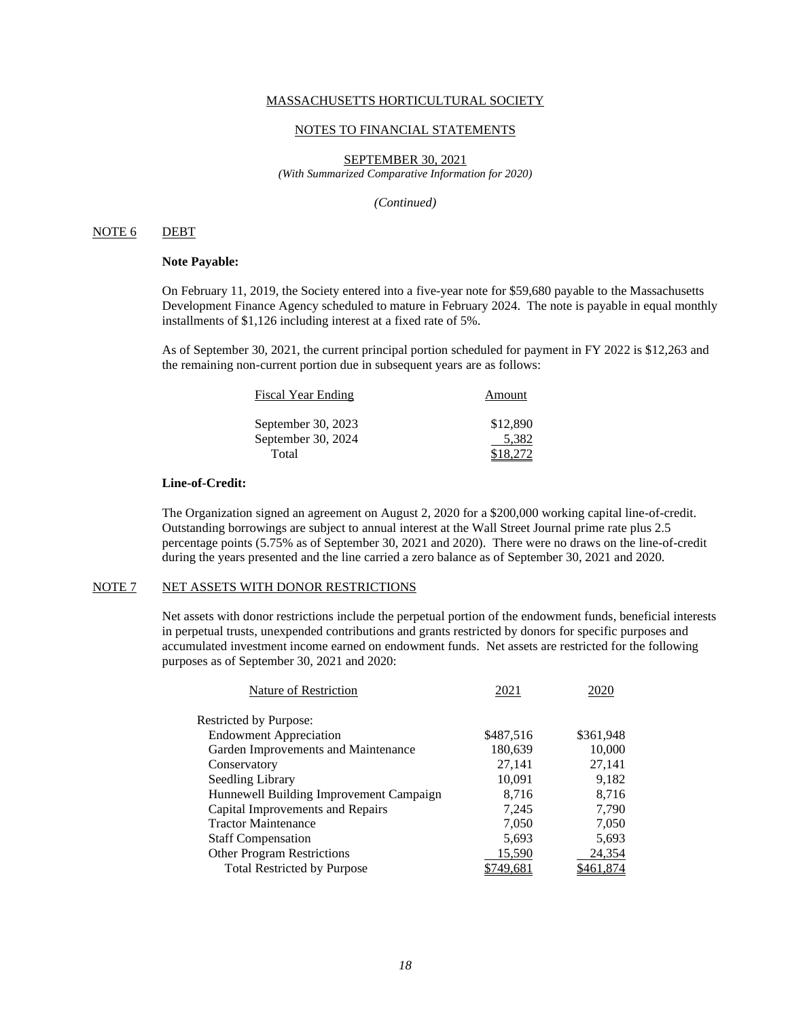#### NOTES TO FINANCIAL STATEMENTS

SEPTEMBER 30, 2021 *(With Summarized Comparative Information for 2020)*

*(Continued)*

## NOTE 6 DEBT

## **Note Payable:**

On February 11, 2019, the Society entered into a five-year note for \$59,680 payable to the Massachusetts Development Finance Agency scheduled to mature in February 2024. The note is payable in equal monthly installments of \$1,126 including interest at a fixed rate of 5%.

As of September 30, 2021, the current principal portion scheduled for payment in FY 2022 is \$12,263 and the remaining non-current portion due in subsequent years are as follows:

| <b>Fiscal Year Ending</b> | Amount   |
|---------------------------|----------|
| September 30, 2023        | \$12,890 |
| September 30, 2024        | 5.382    |
| Total                     | \$18.272 |

### **Line-of-Credit:**

The Organization signed an agreement on August 2, 2020 for a \$200,000 working capital line-of-credit. Outstanding borrowings are subject to annual interest at the Wall Street Journal prime rate plus 2.5 percentage points (5.75% as of September 30, 2021 and 2020). There were no draws on the line-of-credit during the years presented and the line carried a zero balance as of September 30, 2021 and 2020.

# NOTE 7 NET ASSETS WITH DONOR RESTRICTIONS

Net assets with donor restrictions include the perpetual portion of the endowment funds, beneficial interests in perpetual trusts, unexpended contributions and grants restricted by donors for specific purposes and accumulated investment income earned on endowment funds. Net assets are restricted for the following purposes as of September 30, 2021 and 2020:

| Nature of Restriction                   | 2021      | 2020      |
|-----------------------------------------|-----------|-----------|
| <b>Restricted by Purpose:</b>           |           |           |
| <b>Endowment Appreciation</b>           | \$487,516 | \$361,948 |
| Garden Improvements and Maintenance     | 180,639   | 10,000    |
| Conservatory                            | 27,141    | 27,141    |
| Seedling Library                        | 10,091    | 9,182     |
| Hunnewell Building Improvement Campaign | 8,716     | 8,716     |
| Capital Improvements and Repairs        | 7,245     | 7,790     |
| <b>Tractor Maintenance</b>              | 7,050     | 7,050     |
| <b>Staff Compensation</b>               | 5,693     | 5,693     |
| <b>Other Program Restrictions</b>       | 15,590    | 24,354    |
| <b>Total Restricted by Purpose</b>      | \$749,681 | \$461,874 |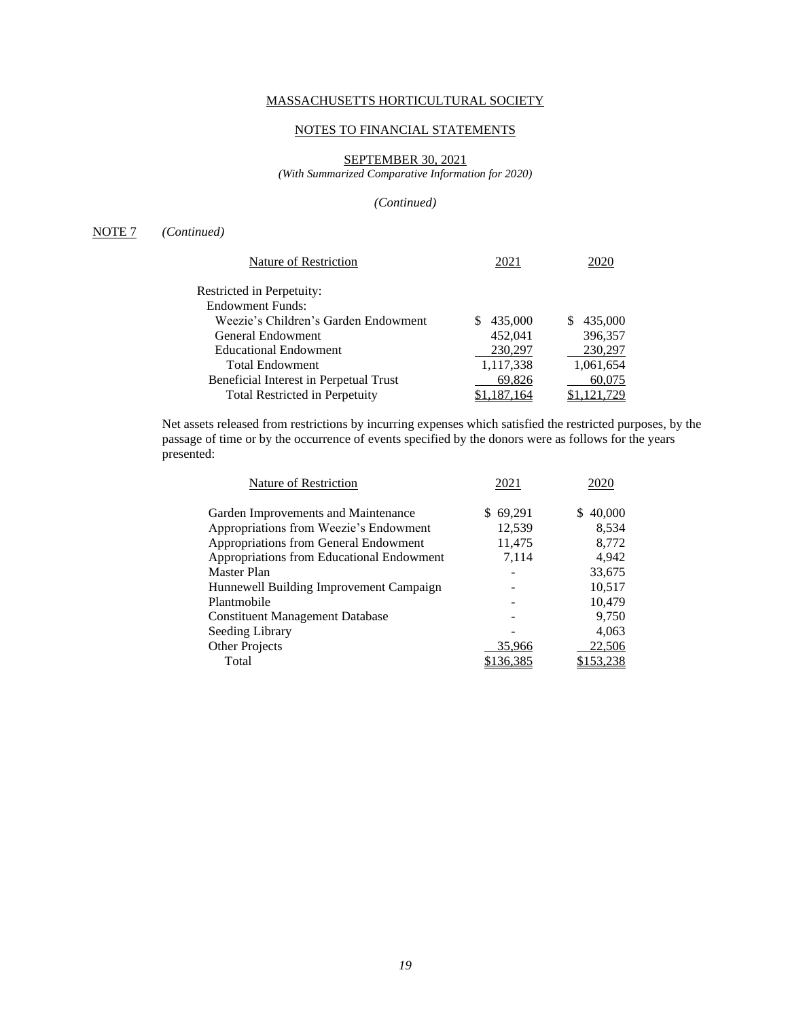# NOTES TO FINANCIAL STATEMENTS

# SEPTEMBER 30, 2021

*(With Summarized Comparative Information for 2020)*

## *(Continued)*

# NOTE 7 *(Continued)*

| Nature of Restriction                  | 2021      |           |
|----------------------------------------|-----------|-----------|
| Restricted in Perpetuity:              |           |           |
| Endowment Funds:                       |           |           |
| Weezie's Children's Garden Endowment   | 435,000   | 435,000   |
| General Endowment                      | 452,041   | 396,357   |
| <b>Educational Endowment</b>           | 230,297   | 230,297   |
| <b>Total Endowment</b>                 | 1,117,338 | 1,061,654 |
| Beneficial Interest in Perpetual Trust | 69,826    | 60,075    |
| Total Restricted in Perpetuity         |           |           |

Net assets released from restrictions by incurring expenses which satisfied the restricted purposes, by the passage of time or by the occurrence of events specified by the donors were as follows for the years presented:

| Nature of Restriction                     | 2021     |                |
|-------------------------------------------|----------|----------------|
| Garden Improvements and Maintenance       | \$69,291 | 40,000<br>S.   |
| Appropriations from Weezie's Endowment    | 12,539   | 8,534          |
| Appropriations from General Endowment     | 11,475   | 8,772          |
| Appropriations from Educational Endowment | 7,114    | 4,942          |
| Master Plan                               |          | 33,675         |
| Hunnewell Building Improvement Campaign   |          | 10,517         |
| Plantmobile                               |          | 10,479         |
| <b>Constituent Management Database</b>    |          | 9,750          |
| Seeding Library                           |          | 4,063          |
| <b>Other Projects</b>                     | 35,966   | 22,506         |
| Total                                     |          | <u>153,238</u> |
|                                           |          |                |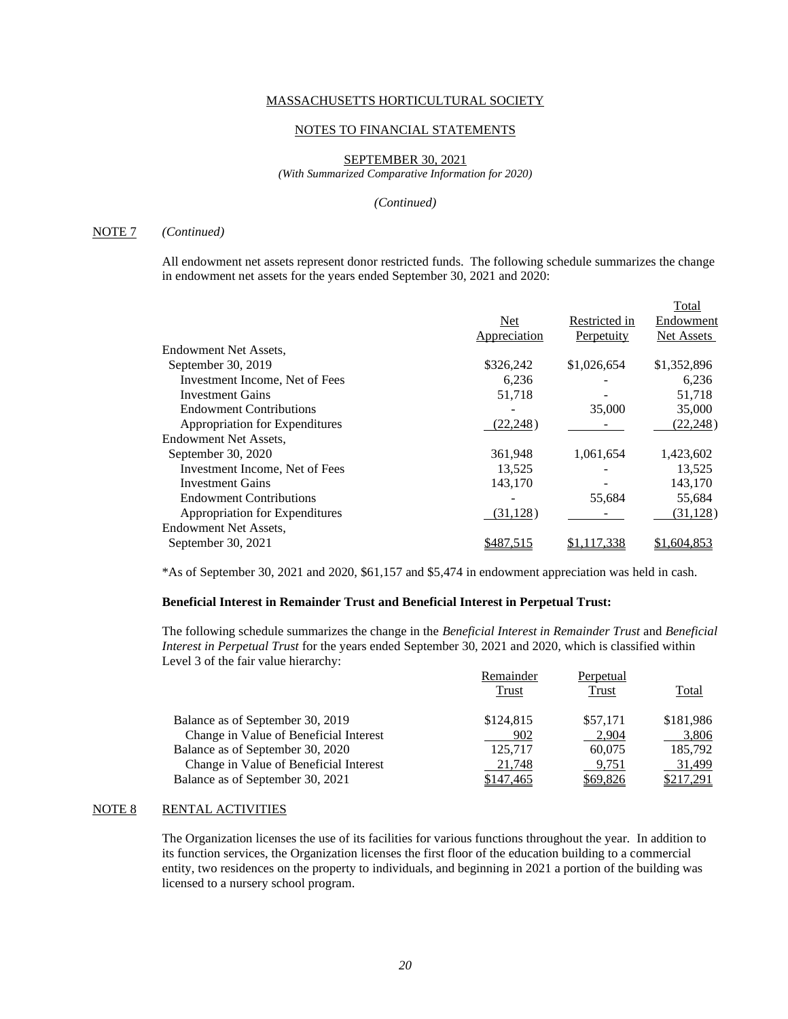#### NOTES TO FINANCIAL STATEMENTS

### SEPTEMBER 30, 2021

*(With Summarized Comparative Information for 2020)*

#### *(Continued)*

## NOTE 7 *(Continued)*

All endowment net assets represent donor restricted funds. The following schedule summarizes the change in endowment net assets for the years ended September 30, 2021 and 2020:

|                                |              |               | Total       |
|--------------------------------|--------------|---------------|-------------|
|                                | Net          | Restricted in | Endowment   |
|                                | Appreciation | Perpetuity    | Net Assets  |
| Endowment Net Assets,          |              |               |             |
| September 30, 2019             | \$326,242    | \$1,026,654   | \$1,352,896 |
| Investment Income, Net of Fees | 6,236        |               | 6,236       |
| <b>Investment Gains</b>        | 51,718       |               | 51,718      |
| <b>Endowment Contributions</b> |              | 35,000        | 35,000      |
| Appropriation for Expenditures | (22, 248)    |               | (22, 248)   |
| Endowment Net Assets.          |              |               |             |
| September 30, 2020             | 361,948      | 1,061,654     | 1,423,602   |
| Investment Income, Net of Fees | 13,525       |               | 13,525      |
| <b>Investment Gains</b>        | 143,170      |               | 143,170     |
| <b>Endowment Contributions</b> |              | 55,684        | 55,684      |
| Appropriation for Expenditures | (31, 128)    |               | (31, 128)   |
| Endowment Net Assets.          |              |               |             |
| September 30, 2021             | \$487.5      |               | \$1,604,853 |
|                                |              |               |             |

\*As of September 30, 2021 and 2020, \$61,157 and \$5,474 in endowment appreciation was held in cash.

# **Beneficial Interest in Remainder Trust and Beneficial Interest in Perpetual Trust:**

The following schedule summarizes the change in the *Beneficial Interest in Remainder Trust* and *Beneficial Interest in Perpetual Trust* for the years ended September 30, 2021 and 2020, which is classified within Level 3 of the fair value hierarchy:

|                                        | Remainder | Perpetual |           |
|----------------------------------------|-----------|-----------|-----------|
|                                        | Trust     | Trust     | Total     |
| Balance as of September 30, 2019       | \$124,815 | \$57,171  | \$181,986 |
| Change in Value of Beneficial Interest | 902       | 2,904     | 3,806     |
| Balance as of September 30, 2020       | 125.717   | 60.075    | 185,792   |
| Change in Value of Beneficial Interest | 21,748    | 9,751     | 31,499    |
| Balance as of September 30, 2021       | \$147,465 | \$69,826  | \$217,291 |

# NOTE 8 RENTAL ACTIVITIES

The Organization licenses the use of its facilities for various functions throughout the year. In addition to its function services, the Organization licenses the first floor of the education building to a commercial entity, two residences on the property to individuals, and beginning in 2021 a portion of the building was licensed to a nursery school program.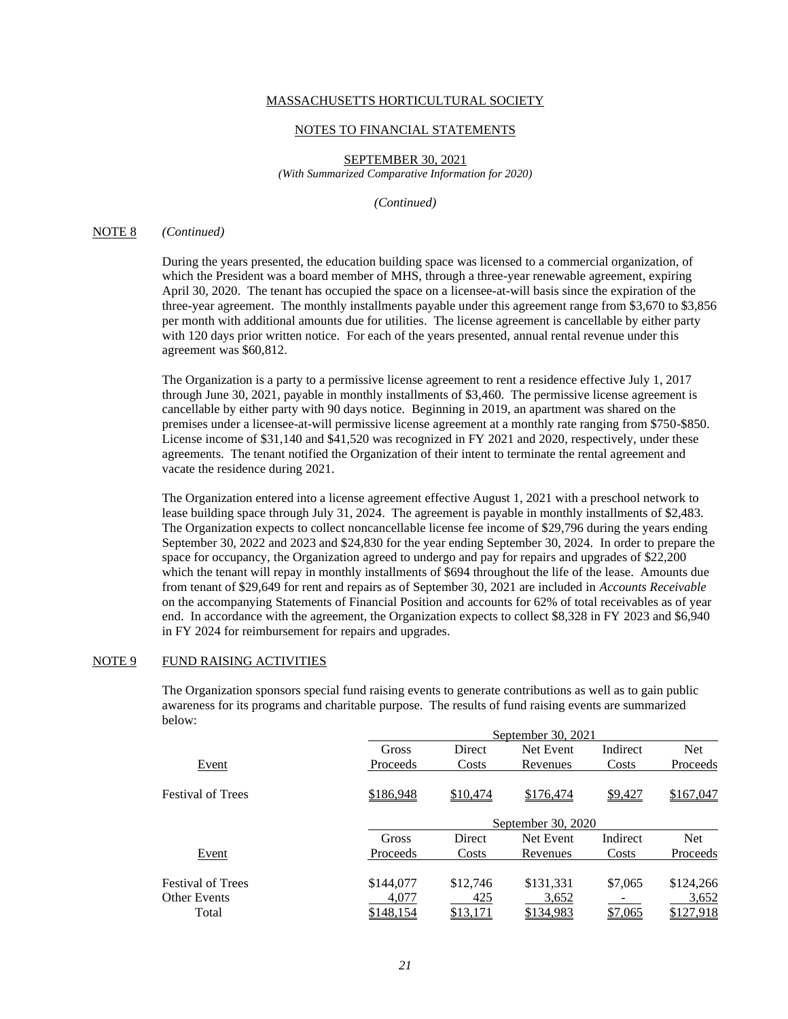#### NOTES TO FINANCIAL STATEMENTS

SEPTEMBER 30, 2021 *(With Summarized Comparative Information for 2020)*

*(Continued)*

## NOTE 8 *(Continued)*

During the years presented, the education building space was licensed to a commercial organization, of which the President was a board member of MHS, through a three-year renewable agreement, expiring April 30, 2020. The tenant has occupied the space on a licensee-at-will basis since the expiration of the three-year agreement. The monthly installments payable under this agreement range from \$3,670 to \$3,856 per month with additional amounts due for utilities. The license agreement is cancellable by either party with 120 days prior written notice. For each of the years presented, annual rental revenue under this agreement was \$60,812.

The Organization is a party to a permissive license agreement to rent a residence effective July 1, 2017 through June 30, 2021, payable in monthly installments of \$3,460. The permissive license agreement is cancellable by either party with 90 days notice. Beginning in 2019, an apartment was shared on the premises under a licensee-at-will permissive license agreement at a monthly rate ranging from \$750-\$850. License income of \$31,140 and \$41,520 was recognized in FY 2021 and 2020, respectively, under these agreements. The tenant notified the Organization of their intent to terminate the rental agreement and vacate the residence during 2021.

The Organization entered into a license agreement effective August 1, 2021 with a preschool network to lease building space through July 31, 2024. The agreement is payable in monthly installments of \$2,483. The Organization expects to collect noncancellable license fee income of \$29,796 during the years ending September 30, 2022 and 2023 and \$24,830 for the year ending September 30, 2024. In order to prepare the space for occupancy, the Organization agreed to undergo and pay for repairs and upgrades of \$22,200 which the tenant will repay in monthly installments of \$694 throughout the life of the lease. Amounts due from tenant of \$29,649 for rent and repairs as of September 30, 2021 are included in *Accounts Receivable*  on the accompanying Statements of Financial Position and accounts for 62% of total receivables as of year end. In accordance with the agreement, the Organization expects to collect \$8,328 in FY 2023 and \$6,940 in FY 2024 for reimbursement for repairs and upgrades.

# NOTE 9 FUND RAISING ACTIVITIES

The Organization sponsors special fund raising events to generate contributions as well as to gain public awareness for its programs and charitable purpose. The results of fund raising events are summarized below:

|                          |           | September 30, 2021 |           |          |            |  |  |
|--------------------------|-----------|--------------------|-----------|----------|------------|--|--|
|                          | Gross     | <b>Direct</b>      | Net Event | Indirect | <b>Net</b> |  |  |
| Event                    | Proceeds  | Costs              | Revenues  | Costs    | Proceeds   |  |  |
| <b>Festival of Trees</b> | \$186,948 | \$10,474           | \$176,474 | \$9,427  | \$167,047  |  |  |
|                          |           | September 30, 2020 |           |          |            |  |  |
|                          | Gross     | Direct             | Net Event | Indirect | Net.       |  |  |
| Event                    | Proceeds  | Costs              | Revenues  | Costs    | Proceeds   |  |  |
| <b>Festival of Trees</b> | \$144,077 | \$12,746           | \$131,331 | \$7,065  | \$124,266  |  |  |
| <b>Other Events</b>      | 4,077     | 425                | 3,652     |          | 3,652      |  |  |
| Total                    | \$148,154 | \$13,171           | \$134,983 | \$7,065  | \$127,918  |  |  |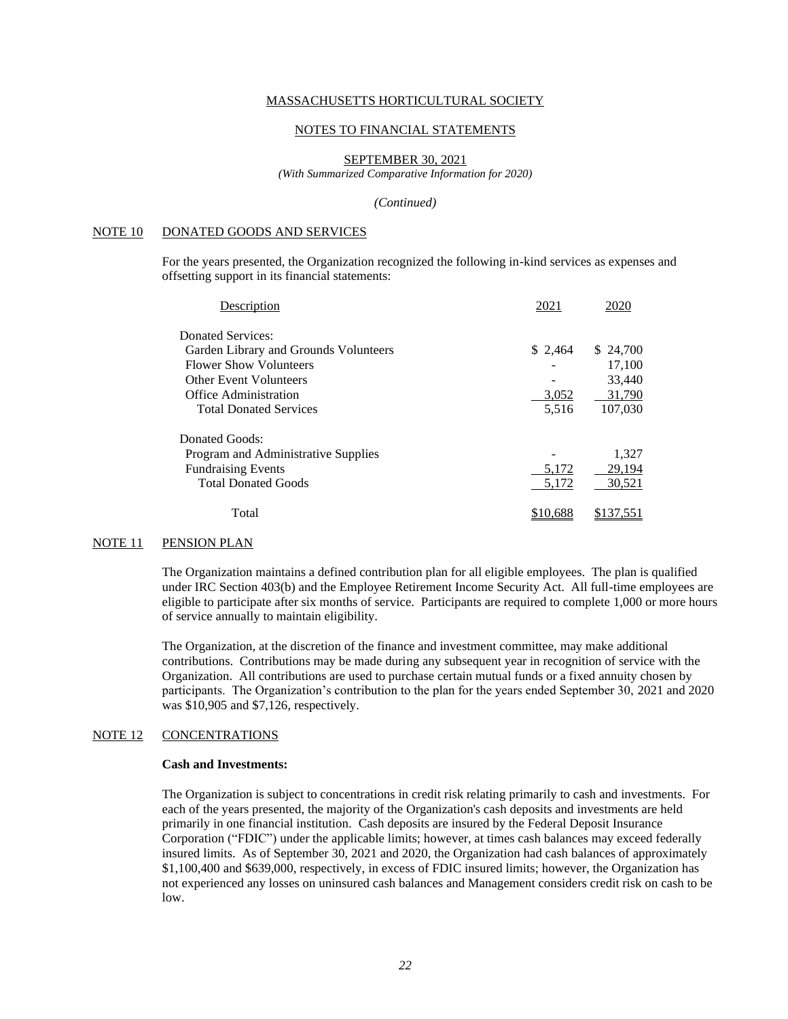### NOTES TO FINANCIAL STATEMENTS

### SEPTEMBER 30, 2021

*(With Summarized Comparative Information for 2020)*

#### *(Continued)*

## NOTE 10 DONATED GOODS AND SERVICES

For the years presented, the Organization recognized the following in-kind services as expenses and offsetting support in its financial statements:

| Description                           | 2021     | 2020      |
|---------------------------------------|----------|-----------|
| Donated Services:                     |          |           |
| Garden Library and Grounds Volunteers | \$2,464  | \$ 24,700 |
| <b>Flower Show Volunteers</b>         |          | 17,100    |
| <b>Other Event Volunteers</b>         |          | 33,440    |
| Office Administration                 | 3,052    | 31,790    |
| <b>Total Donated Services</b>         | 5,516    | 107,030   |
| Donated Goods:                        |          |           |
| Program and Administrative Supplies   |          | 1,327     |
| <b>Fundraising Events</b>             | 5,172    | 29,194    |
| <b>Total Donated Goods</b>            | 5,172    | 30,521    |
| Total                                 | \$10.688 | \$137,551 |
|                                       |          |           |

#### NOTE 11 PENSION PLAN

The Organization maintains a defined contribution plan for all eligible employees. The plan is qualified under IRC Section 403(b) and the Employee Retirement Income Security Act. All full-time employees are eligible to participate after six months of service. Participants are required to complete 1,000 or more hours of service annually to maintain eligibility.

The Organization, at the discretion of the finance and investment committee, may make additional contributions. Contributions may be made during any subsequent year in recognition of service with the Organization. All contributions are used to purchase certain mutual funds or a fixed annuity chosen by participants. The Organization's contribution to the plan for the years ended September 30, 2021 and 2020 was \$10,905 and \$7,126, respectively.

# NOTE 12 CONCENTRATIONS

## **Cash and Investments:**

The Organization is subject to concentrations in credit risk relating primarily to cash and investments. For each of the years presented, the majority of the Organization's cash deposits and investments are held primarily in one financial institution. Cash deposits are insured by the Federal Deposit Insurance Corporation ("FDIC") under the applicable limits; however, at times cash balances may exceed federally insured limits. As of September 30, 2021 and 2020, the Organization had cash balances of approximately \$1,100,400 and \$639,000, respectively, in excess of FDIC insured limits; however, the Organization has not experienced any losses on uninsured cash balances and Management considers credit risk on cash to be low.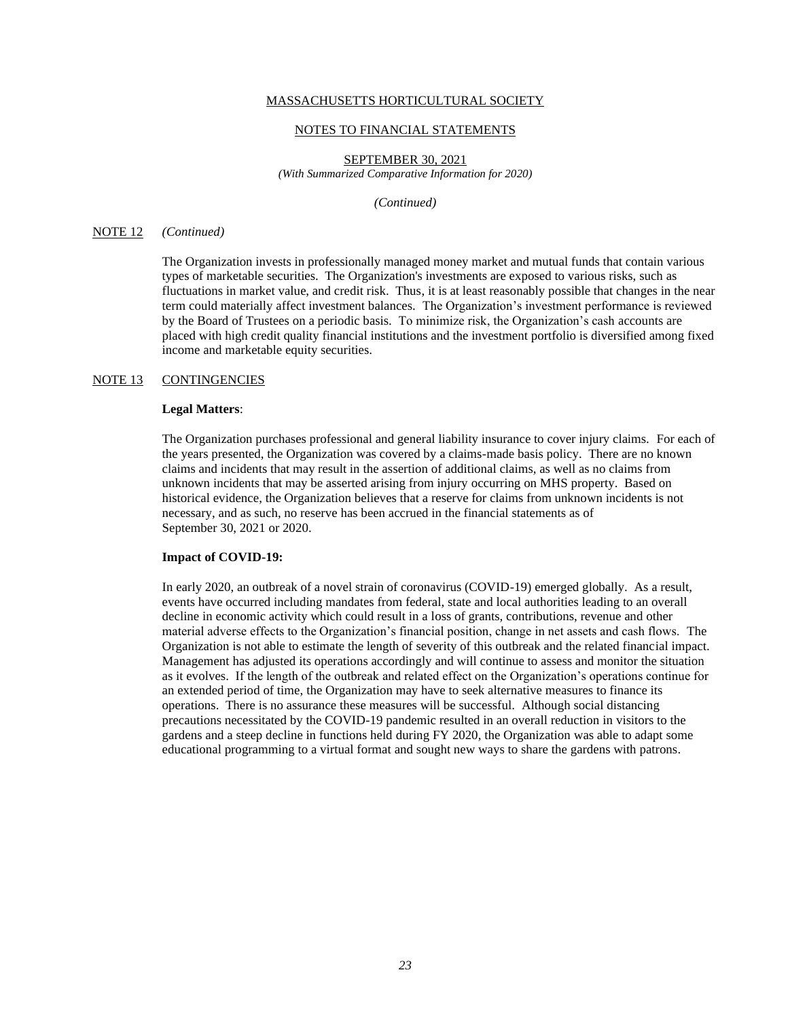#### NOTES TO FINANCIAL STATEMENTS

SEPTEMBER 30, 2021 *(With Summarized Comparative Information for 2020)*

*(Continued)*

## NOTE 12 *(Continued)*

The Organization invests in professionally managed money market and mutual funds that contain various types of marketable securities. The Organization's investments are exposed to various risks, such as fluctuations in market value, and credit risk. Thus, it is at least reasonably possible that changes in the near term could materially affect investment balances. The Organization's investment performance is reviewed by the Board of Trustees on a periodic basis. To minimize risk, the Organization's cash accounts are placed with high credit quality financial institutions and the investment portfolio is diversified among fixed income and marketable equity securities.

### NOTE 13 CONTINGENCIES

### **Legal Matters**:

The Organization purchases professional and general liability insurance to cover injury claims. For each of the years presented, the Organization was covered by a claims-made basis policy. There are no known claims and incidents that may result in the assertion of additional claims, as well as no claims from unknown incidents that may be asserted arising from injury occurring on MHS property. Based on historical evidence, the Organization believes that a reserve for claims from unknown incidents is not necessary, and as such, no reserve has been accrued in the financial statements as of September 30, 2021 or 2020.

#### **Impact of COVID-19:**

In early 2020, an outbreak of a novel strain of coronavirus (COVID-19) emerged globally. As a result, events have occurred including mandates from federal, state and local authorities leading to an overall decline in economic activity which could result in a loss of grants, contributions, revenue and other material adverse effects to the Organization's financial position, change in net assets and cash flows. The Organization is not able to estimate the length of severity of this outbreak and the related financial impact. Management has adjusted its operations accordingly and will continue to assess and monitor the situation as it evolves. If the length of the outbreak and related effect on the Organization's operations continue for an extended period of time, the Organization may have to seek alternative measures to finance its operations. There is no assurance these measures will be successful. Although social distancing precautions necessitated by the COVID-19 pandemic resulted in an overall reduction in visitors to the gardens and a steep decline in functions held during FY 2020, the Organization was able to adapt some educational programming to a virtual format and sought new ways to share the gardens with patrons.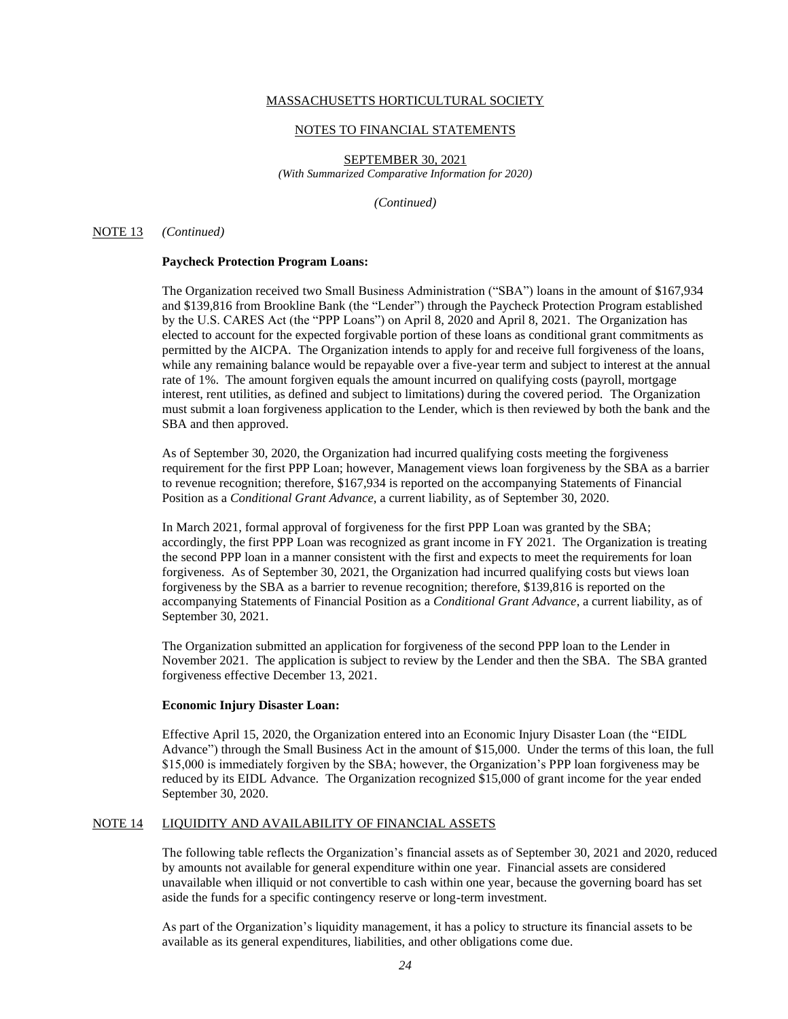### NOTES TO FINANCIAL STATEMENTS

SEPTEMBER 30, 2021 *(With Summarized Comparative Information for 2020)*

*(Continued)*

### NOTE 13 *(Continued)*

### **Paycheck Protection Program Loans:**

The Organization received two Small Business Administration ("SBA") loans in the amount of \$167,934 and \$139,816 from Brookline Bank (the "Lender") through the Paycheck Protection Program established by the U.S. CARES Act (the "PPP Loans") on April 8, 2020 and April 8, 2021. The Organization has elected to account for the expected forgivable portion of these loans as conditional grant commitments as permitted by the AICPA. The Organization intends to apply for and receive full forgiveness of the loans, while any remaining balance would be repayable over a five-year term and subject to interest at the annual rate of 1%. The amount forgiven equals the amount incurred on qualifying costs (payroll, mortgage interest, rent utilities, as defined and subject to limitations) during the covered period. The Organization must submit a loan forgiveness application to the Lender, which is then reviewed by both the bank and the SBA and then approved.

As of September 30, 2020, the Organization had incurred qualifying costs meeting the forgiveness requirement for the first PPP Loan; however, Management views loan forgiveness by the SBA as a barrier to revenue recognition; therefore, \$167,934 is reported on the accompanying Statements of Financial Position as a *Conditional Grant Advance*, a current liability, as of September 30, 2020.

In March 2021, formal approval of forgiveness for the first PPP Loan was granted by the SBA; accordingly, the first PPP Loan was recognized as grant income in FY 2021. The Organization is treating the second PPP loan in a manner consistent with the first and expects to meet the requirements for loan forgiveness. As of September 30, 2021, the Organization had incurred qualifying costs but views loan forgiveness by the SBA as a barrier to revenue recognition; therefore, \$139,816 is reported on the accompanying Statements of Financial Position as a *Conditional Grant Advance*, a current liability, as of September 30, 2021.

The Organization submitted an application for forgiveness of the second PPP loan to the Lender in November 2021. The application is subject to review by the Lender and then the SBA. The SBA granted forgiveness effective December 13, 2021.

### **Economic Injury Disaster Loan:**

Effective April 15, 2020, the Organization entered into an Economic Injury Disaster Loan (the "EIDL Advance") through the Small Business Act in the amount of \$15,000. Under the terms of this loan, the full \$15,000 is immediately forgiven by the SBA; however, the Organization's PPP loan forgiveness may be reduced by its EIDL Advance. The Organization recognized \$15,000 of grant income for the year ended September 30, 2020.

# NOTE 14 LIQUIDITY AND AVAILABILITY OF FINANCIAL ASSETS

The following table reflects the Organization's financial assets as of September 30, 2021 and 2020, reduced by amounts not available for general expenditure within one year. Financial assets are considered unavailable when illiquid or not convertible to cash within one year, because the governing board has set aside the funds for a specific contingency reserve or long-term investment.

As part of the Organization's liquidity management, it has a policy to structure its financial assets to be available as its general expenditures, liabilities, and other obligations come due.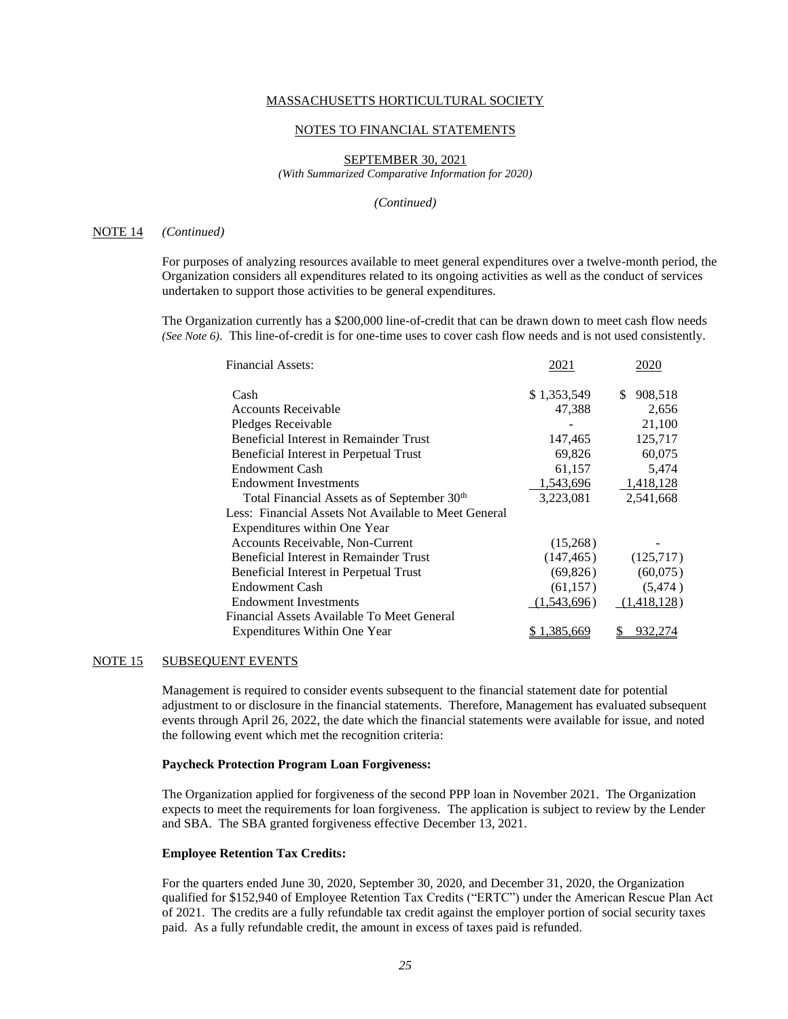### NOTES TO FINANCIAL STATEMENTS

### SEPTEMBER 30, 2021

*(With Summarized Comparative Information for 2020)*

#### *(Continued)*

#### NOTE 14 *(Continued)*

For purposes of analyzing resources available to meet general expenditures over a twelve-month period, the Organization considers all expenditures related to its ongoing activities as well as the conduct of services undertaken to support those activities to be general expenditures.

The Organization currently has a \$200,000 line-of-credit that can be drawn down to meet cash flow needs *(See Note 6)*. This line-of-credit is for one-time uses to cover cash flow needs and is not used consistently.

| <b>Financial Assets:</b>                                | 2021        | 2020          |
|---------------------------------------------------------|-------------|---------------|
| Cash                                                    | \$1,353,549 | 908,518<br>\$ |
| <b>Accounts Receivable</b>                              | 47,388      | 2,656         |
| Pledges Receivable                                      |             | 21,100        |
| Beneficial Interest in Remainder Trust                  | 147,465     | 125,717       |
| Beneficial Interest in Perpetual Trust                  | 69,826      | 60,075        |
| <b>Endowment Cash</b>                                   | 61,157      | 5,474         |
| <b>Endowment Investments</b>                            | 1,543,696   | 1,418,128     |
| Total Financial Assets as of September 30 <sup>th</sup> | 3,223,081   | 2,541,668     |
| Less: Financial Assets Not Available to Meet General    |             |               |
| Expenditures within One Year                            |             |               |
| Accounts Receivable, Non-Current                        | (15,268)    |               |
| Beneficial Interest in Remainder Trust                  | (147, 465)  | (125,717)     |
| Beneficial Interest in Perpetual Trust                  | (69,826)    | (60,075)      |
| <b>Endowment Cash</b>                                   | (61,157)    | (5, 474)      |
| <b>Endowment Investments</b>                            | (1,543,696) | (1,418,128)   |
| Financial Assets Available To Meet General              |             |               |
| Expenditures Within One Year                            | \$1,385,669 | 932,274<br>\$ |

### NOTE 15 SUBSEQUENT EVENTS

Management is required to consider events subsequent to the financial statement date for potential adjustment to or disclosure in the financial statements. Therefore, Management has evaluated subsequent events through April 26, 2022, the date which the financial statements were available for issue, and noted the following event which met the recognition criteria:

### **Paycheck Protection Program Loan Forgiveness:**

The Organization applied for forgiveness of the second PPP loan in November 2021. The Organization expects to meet the requirements for loan forgiveness. The application is subject to review by the Lender and SBA. The SBA granted forgiveness effective December 13, 2021.

### **Employee Retention Tax Credits:**

For the quarters ended June 30, 2020, September 30, 2020, and December 31, 2020, the Organization qualified for \$152,940 of Employee Retention Tax Credits ("ERTC") under the American Rescue Plan Act of 2021. The credits are a fully refundable tax credit against the employer portion of social security taxes paid. As a fully refundable credit, the amount in excess of taxes paid is refunded.